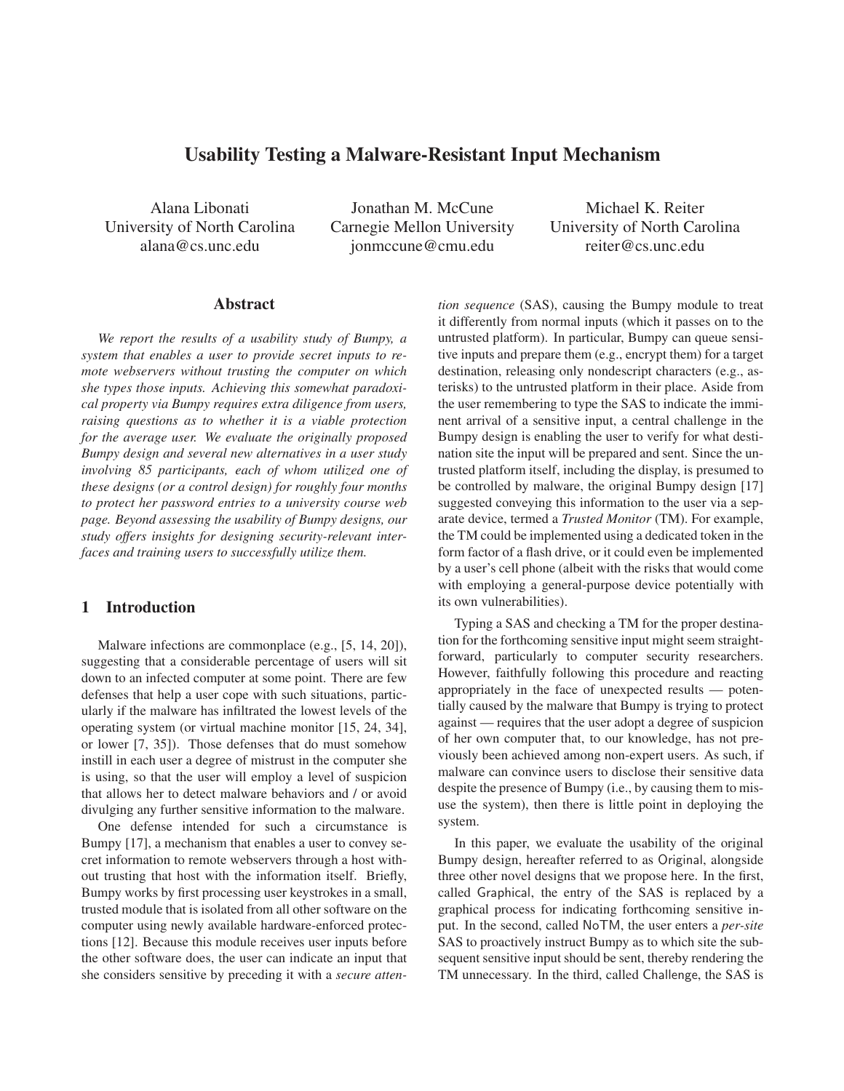# **Usability Testing a Malware-Resistant Input Mechanism**

Alana Libonati University of North Carolina alana@cs.unc.edu

Jonathan M. McCune Carnegie Mellon University jonmccune@cmu.edu

Michael K. Reiter University of North Carolina reiter@cs.unc.edu

## **Abstract**

*We report the results of a usability study of Bumpy, a system that enables a user to provide secret inputs to remote webservers without trusting the computer on which she types those inputs. Achieving this somewhat paradoxical property via Bumpy requires extra diligence from users, raising questions as to whether it is a viable protection for the average user. We evaluate the originally proposed Bumpy design and several new alternatives in a user study involving 85 participants, each of whom utilized one of these designs (or a control design) for roughly four months to protect her password entries to a university course web page. Beyond assessing the usability of Bumpy designs, our study offers insights for designing security-relevant interfaces and training users to successfully utilize them.*

## **1 Introduction**

Malware infections are commonplace (e.g., [5, 14, 20]), suggesting that a considerable percentage of users will sit down to an infected computer at some point. There are few defenses that help a user cope with such situations, particularly if the malware has infiltrated the lowest levels of the operating system (or virtual machine monitor [15, 24, 34], or lower [7, 35]). Those defenses that do must somehow instill in each user a degree of mistrust in the computer she is using, so that the user will employ a level of suspicion that allows her to detect malware behaviors and / or avoid divulging any further sensitive information to the malware.

One defense intended for such a circumstance is Bumpy [17], a mechanism that enables a user to convey secret information to remote webservers through a host without trusting that host with the information itself. Briefly, Bumpy works by first processing user keystrokes in a small, trusted module that is isolated from all other software on the computer using newly available hardware-enforced protections [12]. Because this module receives user inputs before the other software does, the user can indicate an input that she considers sensitive by preceding it with a *secure atten-* *tion sequence* (SAS), causing the Bumpy module to treat it differently from normal inputs (which it passes on to the untrusted platform). In particular, Bumpy can queue sensitive inputs and prepare them (e.g., encrypt them) for a target destination, releasing only nondescript characters (e.g., asterisks) to the untrusted platform in their place. Aside from the user remembering to type the SAS to indicate the imminent arrival of a sensitive input, a central challenge in the Bumpy design is enabling the user to verify for what destination site the input will be prepared and sent. Since the untrusted platform itself, including the display, is presumed to be controlled by malware, the original Bumpy design [17] suggested conveying this information to the user via a separate device, termed a *Trusted Monitor* (TM). For example, the TM could be implemented using a dedicated token in the form factor of a flash drive, or it could even be implemented by a user's cell phone (albeit with the risks that would come with employing a general-purpose device potentially with its own vulnerabilities).

Typing a SAS and checking a TM for the proper destination for the forthcoming sensitive input might seem straightforward, particularly to computer security researchers. However, faithfully following this procedure and reacting appropriately in the face of unexpected results — potentially caused by the malware that Bumpy is trying to protect against — requires that the user adopt a degree of suspicion of her own computer that, to our knowledge, has not previously been achieved among non-expert users. As such, if malware can convince users to disclose their sensitive data despite the presence of Bumpy (i.e., by causing them to misuse the system), then there is little point in deploying the system.

In this paper, we evaluate the usability of the original Bumpy design, hereafter referred to as Original, alongside three other novel designs that we propose here. In the first, called Graphical, the entry of the SAS is replaced by a graphical process for indicating forthcoming sensitive input. In the second, called NoTM, the user enters a *per-site* SAS to proactively instruct Bumpy as to which site the subsequent sensitive input should be sent, thereby rendering the TM unnecessary. In the third, called Challenge, the SAS is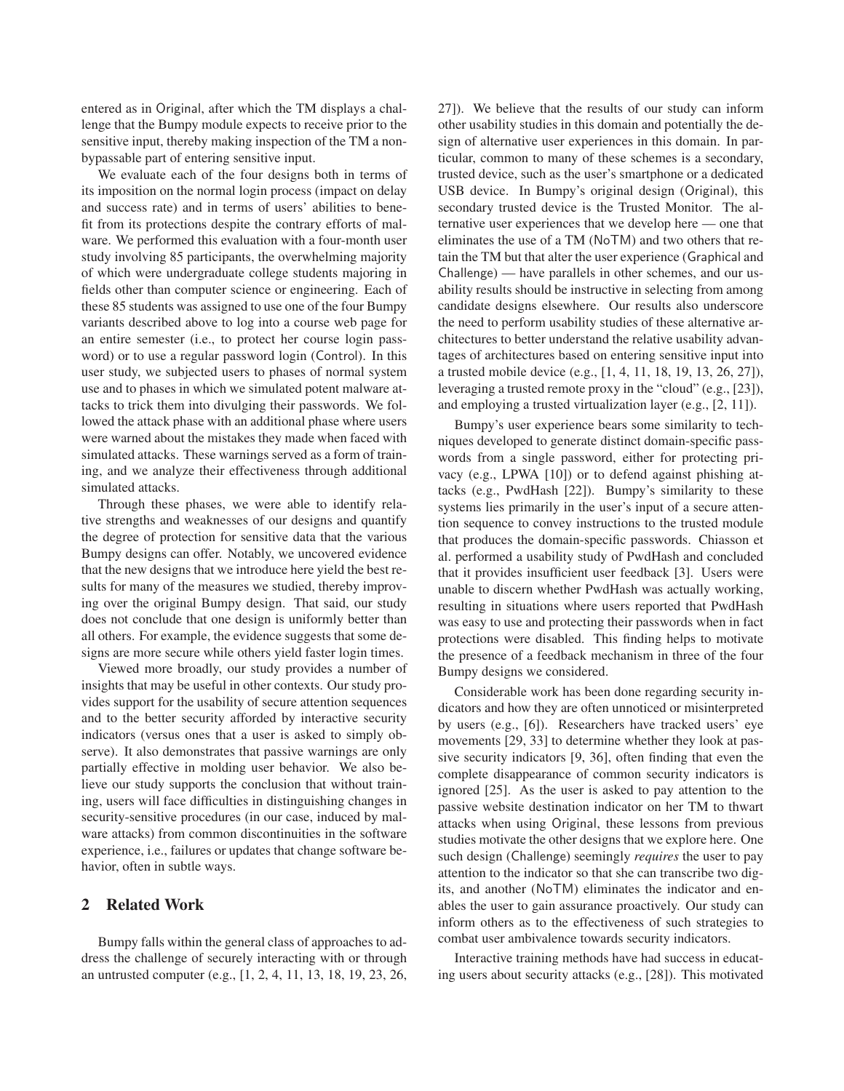entered as in Original, after which the TM displays a challenge that the Bumpy module expects to receive prior to the sensitive input, thereby making inspection of the TM a nonbypassable part of entering sensitive input.

We evaluate each of the four designs both in terms of its imposition on the normal login process (impact on delay and success rate) and in terms of users' abilities to benefit from its protections despite the contrary efforts of malware. We performed this evaluation with a four-month user study involving 85 participants, the overwhelming majority of which were undergraduate college students majoring in fields other than computer science or engineering. Each of these 85 students was assigned to use one of the four Bumpy variants described above to log into a course web page for an entire semester (i.e., to protect her course login password) or to use a regular password login (Control). In this user study, we subjected users to phases of normal system use and to phases in which we simulated potent malware attacks to trick them into divulging their passwords. We followed the attack phase with an additional phase where users were warned about the mistakes they made when faced with simulated attacks. These warnings served as a form of training, and we analyze their effectiveness through additional simulated attacks.

Through these phases, we were able to identify relative strengths and weaknesses of our designs and quantify the degree of protection for sensitive data that the various Bumpy designs can offer. Notably, we uncovered evidence that the new designs that we introduce here yield the best results for many of the measures we studied, thereby improving over the original Bumpy design. That said, our study does not conclude that one design is uniformly better than all others. For example, the evidence suggests that some designs are more secure while others yield faster login times.

Viewed more broadly, our study provides a number of insights that may be useful in other contexts. Our study provides support for the usability of secure attention sequences and to the better security afforded by interactive security indicators (versus ones that a user is asked to simply observe). It also demonstrates that passive warnings are only partially effective in molding user behavior. We also believe our study supports the conclusion that without training, users will face difficulties in distinguishing changes in security-sensitive procedures (in our case, induced by malware attacks) from common discontinuities in the software experience, i.e., failures or updates that change software behavior, often in subtle ways.

## **2 Related Work**

Bumpy falls within the general class of approaches to address the challenge of securely interacting with or through an untrusted computer (e.g., [1, 2, 4, 11, 13, 18, 19, 23, 26, 27]). We believe that the results of our study can inform other usability studies in this domain and potentially the design of alternative user experiences in this domain. In particular, common to many of these schemes is a secondary, trusted device, such as the user's smartphone or a dedicated USB device. In Bumpy's original design (Original), this secondary trusted device is the Trusted Monitor. The alternative user experiences that we develop here — one that eliminates the use of a TM (NoTM) and two others that retain the TM but that alter the user experience (Graphical and Challenge) — have parallels in other schemes, and our usability results should be instructive in selecting from among candidate designs elsewhere. Our results also underscore the need to perform usability studies of these alternative architectures to better understand the relative usability advantages of architectures based on entering sensitive input into a trusted mobile device (e.g., [1, 4, 11, 18, 19, 13, 26, 27]), leveraging a trusted remote proxy in the "cloud" (e.g., [23]), and employing a trusted virtualization layer (e.g., [2, 11]).

Bumpy's user experience bears some similarity to techniques developed to generate distinct domain-specific passwords from a single password, either for protecting privacy (e.g., LPWA [10]) or to defend against phishing attacks (e.g., PwdHash [22]). Bumpy's similarity to these systems lies primarily in the user's input of a secure attention sequence to convey instructions to the trusted module that produces the domain-specific passwords. Chiasson et al. performed a usability study of PwdHash and concluded that it provides insufficient user feedback [3]. Users were unable to discern whether PwdHash was actually working, resulting in situations where users reported that PwdHash was easy to use and protecting their passwords when in fact protections were disabled. This finding helps to motivate the presence of a feedback mechanism in three of the four Bumpy designs we considered.

Considerable work has been done regarding security indicators and how they are often unnoticed or misinterpreted by users (e.g., [6]). Researchers have tracked users' eye movements [29, 33] to determine whether they look at passive security indicators [9, 36], often finding that even the complete disappearance of common security indicators is ignored [25]. As the user is asked to pay attention to the passive website destination indicator on her TM to thwart attacks when using Original, these lessons from previous studies motivate the other designs that we explore here. One such design (Challenge) seemingly *requires* the user to pay attention to the indicator so that she can transcribe two digits, and another (NoTM) eliminates the indicator and enables the user to gain assurance proactively. Our study can inform others as to the effectiveness of such strategies to combat user ambivalence towards security indicators.

Interactive training methods have had success in educating users about security attacks (e.g., [28]). This motivated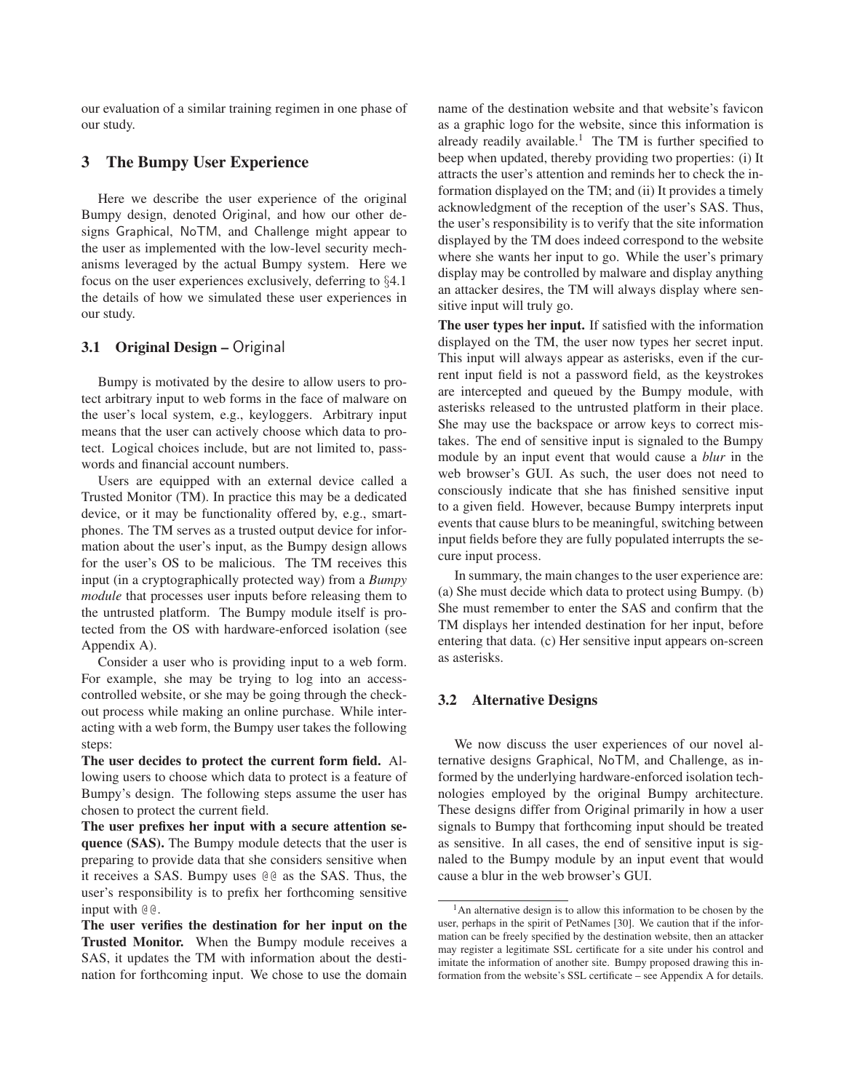our evaluation of a similar training regimen in one phase of our study.

## **3 The Bumpy User Experience**

Here we describe the user experience of the original Bumpy design, denoted Original, and how our other designs Graphical, NoTM, and Challenge might appear to the user as implemented with the low-level security mechanisms leveraged by the actual Bumpy system. Here we focus on the user experiences exclusively, deferring to §4.1 the details of how we simulated these user experiences in our study.

## **3.1 Original Design –** Original

Bumpy is motivated by the desire to allow users to protect arbitrary input to web forms in the face of malware on the user's local system, e.g., keyloggers. Arbitrary input means that the user can actively choose which data to protect. Logical choices include, but are not limited to, passwords and financial account numbers.

Users are equipped with an external device called a Trusted Monitor (TM). In practice this may be a dedicated device, or it may be functionality offered by, e.g., smartphones. The TM serves as a trusted output device for information about the user's input, as the Bumpy design allows for the user's OS to be malicious. The TM receives this input (in a cryptographically protected way) from a *Bumpy module* that processes user inputs before releasing them to the untrusted platform. The Bumpy module itself is protected from the OS with hardware-enforced isolation (see Appendix A).

Consider a user who is providing input to a web form. For example, she may be trying to log into an accesscontrolled website, or she may be going through the checkout process while making an online purchase. While interacting with a web form, the Bumpy user takes the following steps:

**The user decides to protect the current form field.** Allowing users to choose which data to protect is a feature of Bumpy's design. The following steps assume the user has chosen to protect the current field.

**The user prefixes her input with a secure attention sequence (SAS).** The Bumpy module detects that the user is preparing to provide data that she considers sensitive when it receives a SAS. Bumpy uses @@ as the SAS. Thus, the user's responsibility is to prefix her forthcoming sensitive input with @@.

**The user verifies the destination for her input on the Trusted Monitor.** When the Bumpy module receives a SAS, it updates the TM with information about the destination for forthcoming input. We chose to use the domain name of the destination website and that website's favicon as a graphic logo for the website, since this information is already readily available.<sup>1</sup> The TM is further specified to beep when updated, thereby providing two properties: (i) It attracts the user's attention and reminds her to check the information displayed on the TM; and (ii) It provides a timely acknowledgment of the reception of the user's SAS. Thus, the user's responsibility is to verify that the site information displayed by the TM does indeed correspond to the website where she wants her input to go. While the user's primary display may be controlled by malware and display anything an attacker desires, the TM will always display where sensitive input will truly go.

**The user types her input.** If satisfied with the information displayed on the TM, the user now types her secret input. This input will always appear as asterisks, even if the current input field is not a password field, as the keystrokes are intercepted and queued by the Bumpy module, with asterisks released to the untrusted platform in their place. She may use the backspace or arrow keys to correct mistakes. The end of sensitive input is signaled to the Bumpy module by an input event that would cause a *blur* in the web browser's GUI. As such, the user does not need to consciously indicate that she has finished sensitive input to a given field. However, because Bumpy interprets input events that cause blurs to be meaningful, switching between input fields before they are fully populated interrupts the secure input process.

In summary, the main changes to the user experience are: (a) She must decide which data to protect using Bumpy. (b) She must remember to enter the SAS and confirm that the TM displays her intended destination for her input, before entering that data. (c) Her sensitive input appears on-screen as asterisks.

#### **3.2 Alternative Designs**

We now discuss the user experiences of our novel alternative designs Graphical, NoTM, and Challenge, as informed by the underlying hardware-enforced isolation technologies employed by the original Bumpy architecture. These designs differ from Original primarily in how a user signals to Bumpy that forthcoming input should be treated as sensitive. In all cases, the end of sensitive input is signaled to the Bumpy module by an input event that would cause a blur in the web browser's GUI.

<sup>&</sup>lt;sup>1</sup>An alternative design is to allow this information to be chosen by the user, perhaps in the spirit of PetNames [30]. We caution that if the information can be freely specified by the destination website, then an attacker may register a legitimate SSL certificate for a site under his control and imitate the information of another site. Bumpy proposed drawing this information from the website's SSL certificate – see Appendix A for details.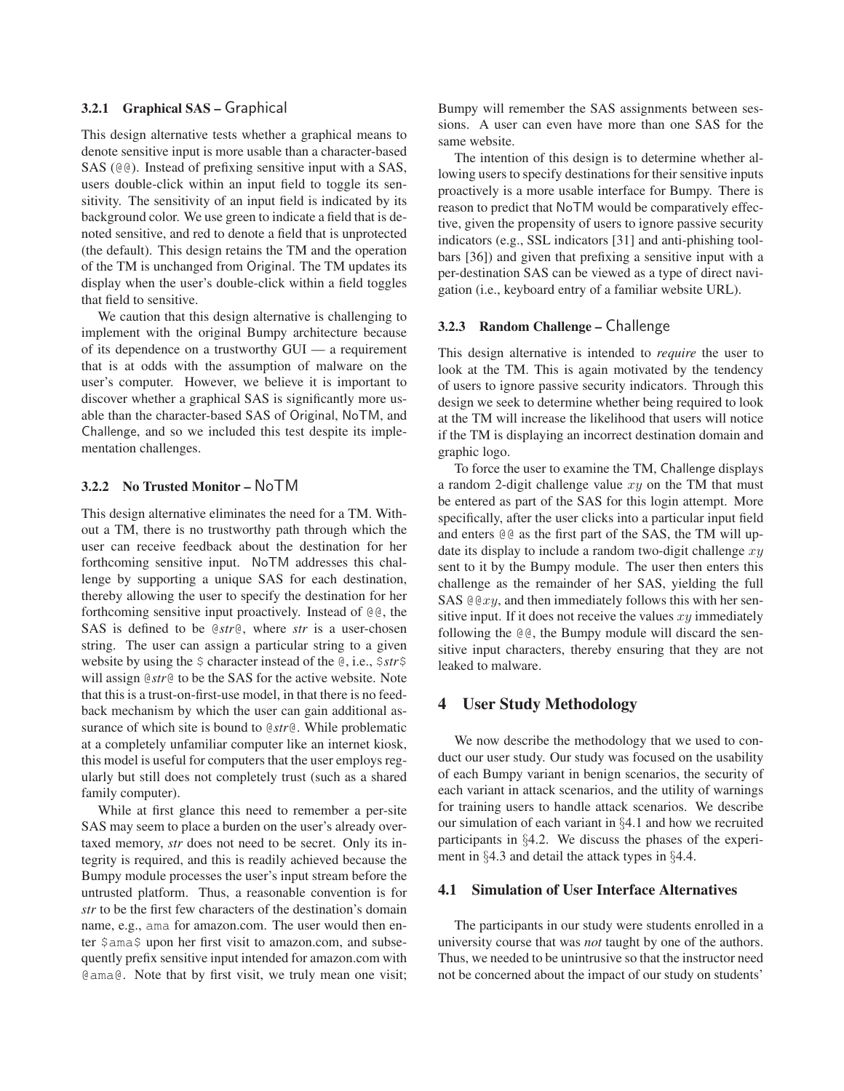## **3.2.1 Graphical SAS –** Graphical

This design alternative tests whether a graphical means to denote sensitive input is more usable than a character-based SAS (@@). Instead of prefixing sensitive input with a SAS, users double-click within an input field to toggle its sensitivity. The sensitivity of an input field is indicated by its background color. We use green to indicate a field that is denoted sensitive, and red to denote a field that is unprotected (the default). This design retains the TM and the operation of the TM is unchanged from Original. The TM updates its display when the user's double-click within a field toggles that field to sensitive.

We caution that this design alternative is challenging to implement with the original Bumpy architecture because of its dependence on a trustworthy GUI — a requirement that is at odds with the assumption of malware on the user's computer. However, we believe it is important to discover whether a graphical SAS is significantly more usable than the character-based SAS of Original, NoTM, and Challenge, and so we included this test despite its implementation challenges.

#### **3.2.2 No Trusted Monitor –** NoTM

This design alternative eliminates the need for a TM. Without a TM, there is no trustworthy path through which the user can receive feedback about the destination for her forthcoming sensitive input. NoTM addresses this challenge by supporting a unique SAS for each destination, thereby allowing the user to specify the destination for her forthcoming sensitive input proactively. Instead of @@, the SAS is defined to be @*str*@, where *str* is a user-chosen string. The user can assign a particular string to a given website by using the \$ character instead of the @, i.e., \$*str*\$ will assign @*str*@ to be the SAS for the active website. Note that this is a trust-on-first-use model, in that there is no feedback mechanism by which the user can gain additional assurance of which site is bound to @*str*@. While problematic at a completely unfamiliar computer like an internet kiosk, this model is useful for computers that the user employs regularly but still does not completely trust (such as a shared family computer).

While at first glance this need to remember a per-site SAS may seem to place a burden on the user's already overtaxed memory, *str* does not need to be secret. Only its integrity is required, and this is readily achieved because the Bumpy module processes the user's input stream before the untrusted platform. Thus, a reasonable convention is for *str* to be the first few characters of the destination's domain name, e.g., ama for amazon.com. The user would then enter \$ama\$ upon her first visit to amazon.com, and subsequently prefix sensitive input intended for amazon.com with @ama@. Note that by first visit, we truly mean one visit; Bumpy will remember the SAS assignments between sessions. A user can even have more than one SAS for the same website.

The intention of this design is to determine whether allowing users to specify destinations for their sensitive inputs proactively is a more usable interface for Bumpy. There is reason to predict that NoTM would be comparatively effective, given the propensity of users to ignore passive security indicators (e.g., SSL indicators [31] and anti-phishing toolbars [36]) and given that prefixing a sensitive input with a per-destination SAS can be viewed as a type of direct navigation (i.e., keyboard entry of a familiar website URL).

#### **3.2.3 Random Challenge –** Challenge

This design alternative is intended to *require* the user to look at the TM. This is again motivated by the tendency of users to ignore passive security indicators. Through this design we seek to determine whether being required to look at the TM will increase the likelihood that users will notice if the TM is displaying an incorrect destination domain and graphic logo.

To force the user to examine the TM, Challenge displays a random 2-digit challenge value  $xy$  on the TM that must be entered as part of the SAS for this login attempt. More specifically, after the user clicks into a particular input field and enters @@ as the first part of the SAS, the TM will update its display to include a random two-digit challenge  $xy$ sent to it by the Bumpy module. The user then enters this challenge as the remainder of her SAS, yielding the full SAS  $QQxy$ , and then immediately follows this with her sensitive input. If it does not receive the values  $xy$  immediately following the @@, the Bumpy module will discard the sensitive input characters, thereby ensuring that they are not leaked to malware.

### **4 User Study Methodology**

We now describe the methodology that we used to conduct our user study. Our study was focused on the usability of each Bumpy variant in benign scenarios, the security of each variant in attack scenarios, and the utility of warnings for training users to handle attack scenarios. We describe our simulation of each variant in §4.1 and how we recruited participants in §4.2. We discuss the phases of the experiment in §4.3 and detail the attack types in §4.4.

#### **4.1 Simulation of User Interface Alternatives**

The participants in our study were students enrolled in a university course that was *not* taught by one of the authors. Thus, we needed to be unintrusive so that the instructor need not be concerned about the impact of our study on students'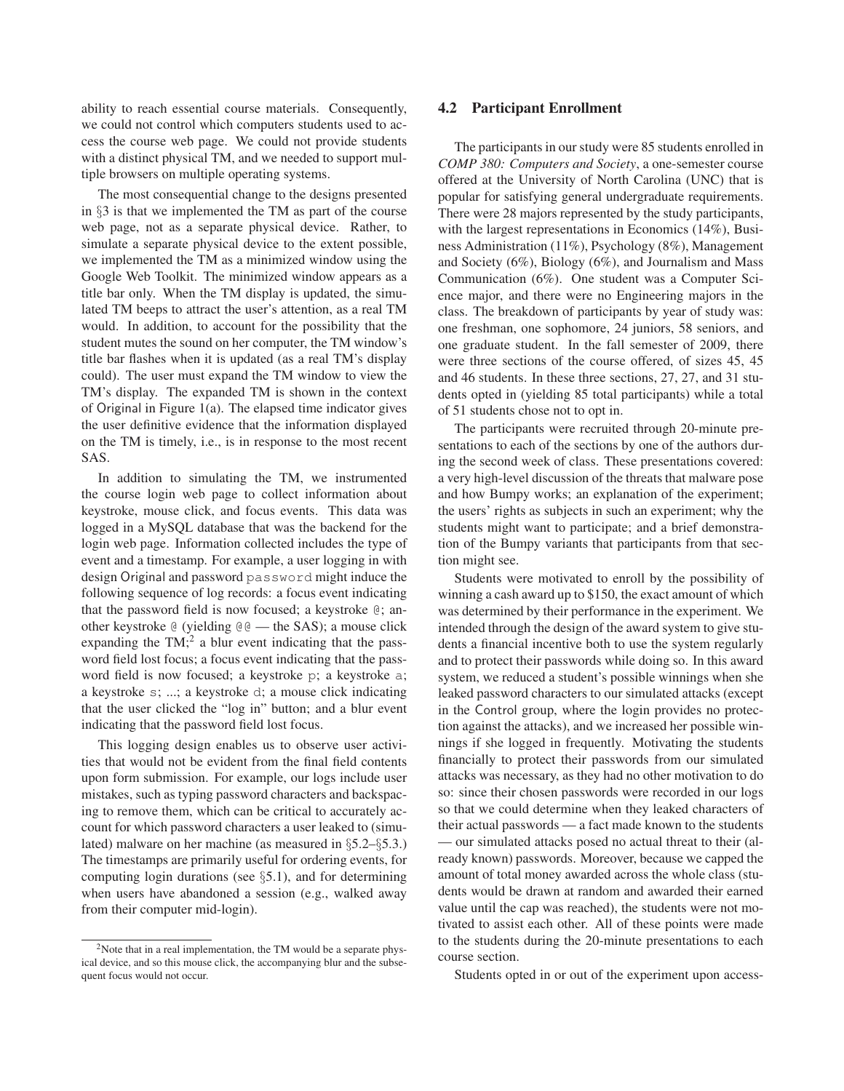ability to reach essential course materials. Consequently, we could not control which computers students used to access the course web page. We could not provide students with a distinct physical TM, and we needed to support multiple browsers on multiple operating systems.

The most consequential change to the designs presented in §3 is that we implemented the TM as part of the course web page, not as a separate physical device. Rather, to simulate a separate physical device to the extent possible, we implemented the TM as a minimized window using the Google Web Toolkit. The minimized window appears as a title bar only. When the TM display is updated, the simulated TM beeps to attract the user's attention, as a real TM would. In addition, to account for the possibility that the student mutes the sound on her computer, the TM window's title bar flashes when it is updated (as a real TM's display could). The user must expand the TM window to view the TM's display. The expanded TM is shown in the context of Original in Figure 1(a). The elapsed time indicator gives the user definitive evidence that the information displayed on the TM is timely, i.e., is in response to the most recent SAS.

In addition to simulating the TM, we instrumented the course login web page to collect information about keystroke, mouse click, and focus events. This data was logged in a MySQL database that was the backend for the login web page. Information collected includes the type of event and a timestamp. For example, a user logging in with design Original and password password might induce the following sequence of log records: a focus event indicating that the password field is now focused; a keystroke @; another keystroke @ (yielding @@ — the SAS); a mouse click expanding the  $TM$ <sup>2</sup>, a blur event indicating that the password field lost focus; a focus event indicating that the password field is now focused; a keystroke p; a keystroke a; a keystroke s; ...; a keystroke d; a mouse click indicating that the user clicked the "log in" button; and a blur event indicating that the password field lost focus.

This logging design enables us to observe user activities that would not be evident from the final field contents upon form submission. For example, our logs include user mistakes, such as typing password characters and backspacing to remove them, which can be critical to accurately account for which password characters a user leaked to (simulated) malware on her machine (as measured in §5.2–§5.3.) The timestamps are primarily useful for ordering events, for computing login durations (see  $\S$ 5.1), and for determining when users have abandoned a session (e.g., walked away from their computer mid-login).

#### **4.2 Participant Enrollment**

The participants in our study were 85 students enrolled in *COMP 380: Computers and Society*, a one-semester course offered at the University of North Carolina (UNC) that is popular for satisfying general undergraduate requirements. There were 28 majors represented by the study participants, with the largest representations in Economics (14%), Business Administration (11%), Psychology (8%), Management and Society (6%), Biology (6%), and Journalism and Mass Communication (6%). One student was a Computer Science major, and there were no Engineering majors in the class. The breakdown of participants by year of study was: one freshman, one sophomore, 24 juniors, 58 seniors, and one graduate student. In the fall semester of 2009, there were three sections of the course offered, of sizes 45, 45 and 46 students. In these three sections, 27, 27, and 31 students opted in (yielding 85 total participants) while a total of 51 students chose not to opt in.

The participants were recruited through 20-minute presentations to each of the sections by one of the authors during the second week of class. These presentations covered: a very high-level discussion of the threats that malware pose and how Bumpy works; an explanation of the experiment; the users' rights as subjects in such an experiment; why the students might want to participate; and a brief demonstration of the Bumpy variants that participants from that section might see.

Students were motivated to enroll by the possibility of winning a cash award up to \$150, the exact amount of which was determined by their performance in the experiment. We intended through the design of the award system to give students a financial incentive both to use the system regularly and to protect their passwords while doing so. In this award system, we reduced a student's possible winnings when she leaked password characters to our simulated attacks (except in the Control group, where the login provides no protection against the attacks), and we increased her possible winnings if she logged in frequently. Motivating the students financially to protect their passwords from our simulated attacks was necessary, as they had no other motivation to do so: since their chosen passwords were recorded in our logs so that we could determine when they leaked characters of their actual passwords — a fact made known to the students — our simulated attacks posed no actual threat to their (already known) passwords. Moreover, because we capped the amount of total money awarded across the whole class (students would be drawn at random and awarded their earned value until the cap was reached), the students were not motivated to assist each other. All of these points were made to the students during the 20-minute presentations to each course section.

Students opted in or out of the experiment upon access-

 $2$ Note that in a real implementation, the TM would be a separate physical device, and so this mouse click, the accompanying blur and the subsequent focus would not occur.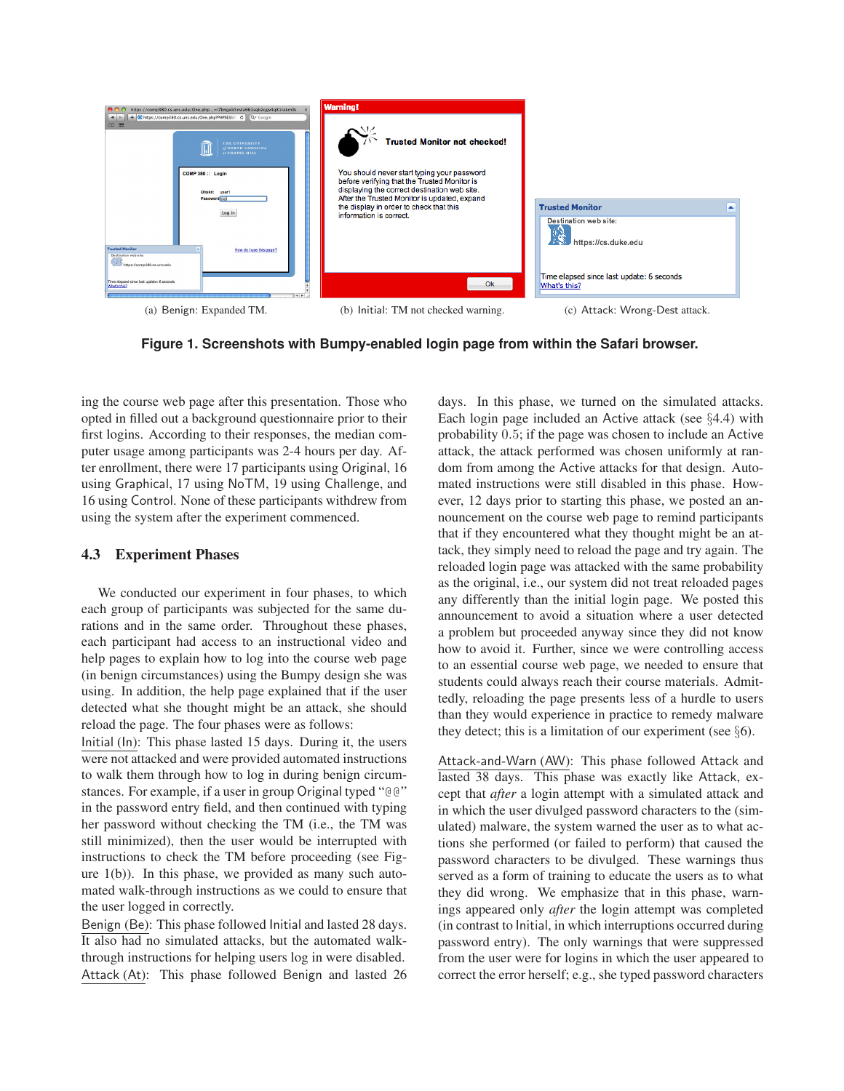

(a) Benign: Expanded TM. (b) Initial: TM not checked warning. (c) Attack: Wrong-Dest attack.

### **Figure 1. Screenshots with Bumpy-enabled login page from within the Safari browser.**

ing the course web page after this presentation. Those who opted in filled out a background questionnaire prior to their first logins. According to their responses, the median computer usage among participants was 2-4 hours per day. After enrollment, there were 17 participants using Original, 16 using Graphical, 17 using NoTM, 19 using Challenge, and 16 using Control. None of these participants withdrew from using the system after the experiment commenced.

### **4.3 Experiment Phases**

We conducted our experiment in four phases, to which each group of participants was subjected for the same durations and in the same order. Throughout these phases, each participant had access to an instructional video and help pages to explain how to log into the course web page (in benign circumstances) using the Bumpy design she was using. In addition, the help page explained that if the user detected what she thought might be an attack, she should reload the page. The four phases were as follows:

Initial (In): This phase lasted 15 days. During it, the users were not attacked and were provided automated instructions to walk them through how to log in during benign circumstances. For example, if a user in group Original typed "@@" in the password entry field, and then continued with typing her password without checking the TM (i.e., the TM was still minimized), then the user would be interrupted with instructions to check the TM before proceeding (see Figure  $1(b)$ ). In this phase, we provided as many such automated walk-through instructions as we could to ensure that the user logged in correctly.

Benign (Be): This phase followed Initial and lasted 28 days. It also had no simulated attacks, but the automated walkthrough instructions for helping users log in were disabled. Attack (At): This phase followed Benign and lasted 26 days. In this phase, we turned on the simulated attacks. Each login page included an Active attack (see §4.4) with probability 0.5; if the page was chosen to include an Active attack, the attack performed was chosen uniformly at random from among the Active attacks for that design. Automated instructions were still disabled in this phase. However, 12 days prior to starting this phase, we posted an announcement on the course web page to remind participants that if they encountered what they thought might be an attack, they simply need to reload the page and try again. The reloaded login page was attacked with the same probability as the original, i.e., our system did not treat reloaded pages any differently than the initial login page. We posted this announcement to avoid a situation where a user detected a problem but proceeded anyway since they did not know how to avoid it. Further, since we were controlling access to an essential course web page, we needed to ensure that students could always reach their course materials. Admittedly, reloading the page presents less of a hurdle to users than they would experience in practice to remedy malware they detect; this is a limitation of our experiment (see  $\S6$ ).

Attack-and-Warn (AW): This phase followed Attack and lasted 38 days. This phase was exactly like Attack, except that *after* a login attempt with a simulated attack and in which the user divulged password characters to the (simulated) malware, the system warned the user as to what actions she performed (or failed to perform) that caused the password characters to be divulged. These warnings thus served as a form of training to educate the users as to what they did wrong. We emphasize that in this phase, warnings appeared only *after* the login attempt was completed (in contrast to Initial, in which interruptions occurred during password entry). The only warnings that were suppressed from the user were for logins in which the user appeared to correct the error herself; e.g., she typed password characters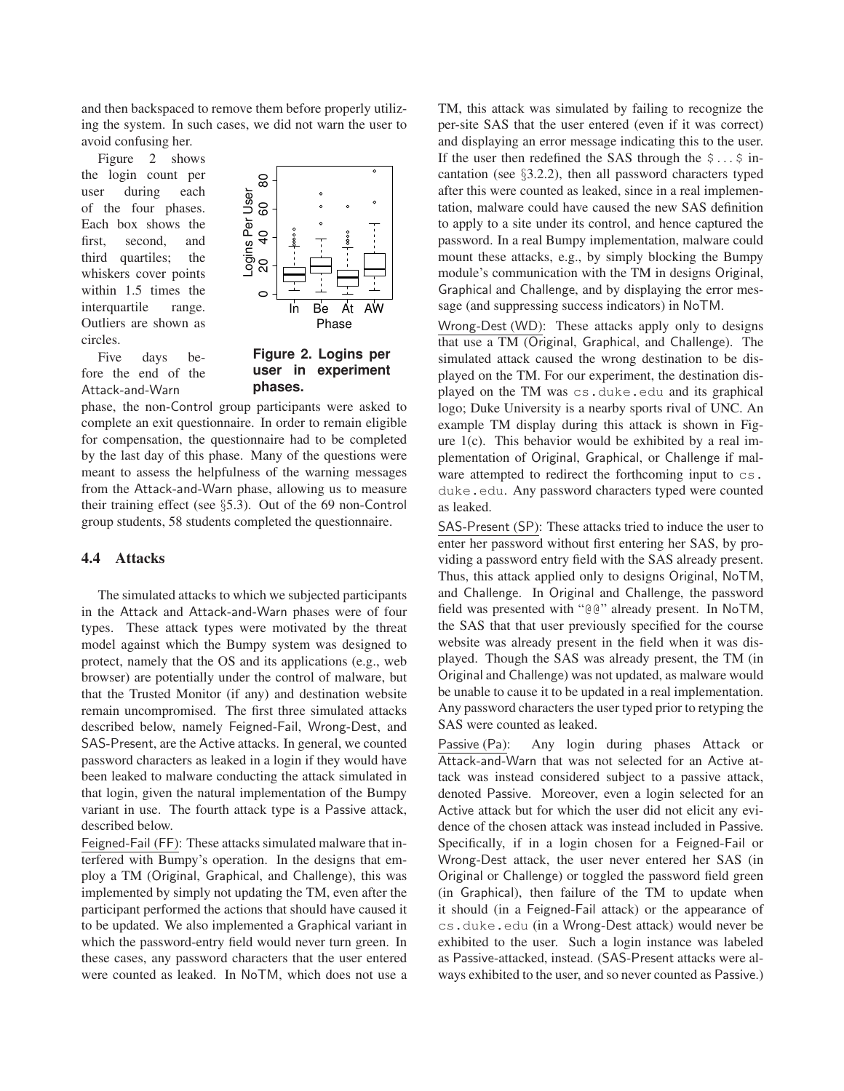and then backspaced to remove them before properly utilizing the system. In such cases, we did not warn the user to avoid confusing her.

Figure 2 shows the login count per user during each of the four phases. Each box shows the first, second, and third quartiles; the whiskers cover points within 1.5 times the interquartile range. Outliers are shown as circles.



Five days before the end of the Attack-and-Warn

**Figure 2. Logins per user in experiment phases.**

phase, the non-Control group participants were asked to complete an exit questionnaire. In order to remain eligible for compensation, the questionnaire had to be completed by the last day of this phase. Many of the questions were meant to assess the helpfulness of the warning messages from the Attack-and-Warn phase, allowing us to measure their training effect (see §5.3). Out of the 69 non-Control group students, 58 students completed the questionnaire.

### **4.4 Attacks**

The simulated attacks to which we subjected participants in the Attack and Attack-and-Warn phases were of four types. These attack types were motivated by the threat model against which the Bumpy system was designed to protect, namely that the OS and its applications (e.g., web browser) are potentially under the control of malware, but that the Trusted Monitor (if any) and destination website remain uncompromised. The first three simulated attacks described below, namely Feigned-Fail, Wrong-Dest, and SAS-Present, are the Active attacks. In general, we counted password characters as leaked in a login if they would have been leaked to malware conducting the attack simulated in that login, given the natural implementation of the Bumpy variant in use. The fourth attack type is a Passive attack, described below.

Feigned-Fail (FF): These attacks simulated malware that interfered with Bumpy's operation. In the designs that employ a TM (Original, Graphical, and Challenge), this was implemented by simply not updating the TM, even after the participant performed the actions that should have caused it to be updated. We also implemented a Graphical variant in which the password-entry field would never turn green. In these cases, any password characters that the user entered were counted as leaked. In NoTM, which does not use a

TM, this attack was simulated by failing to recognize the per-site SAS that the user entered (even if it was correct) and displaying an error message indicating this to the user. If the user then redefined the SAS through the  $\frac{1}{5}$ ...  $\frac{1}{5}$  incantation (see §3.2.2), then all password characters typed after this were counted as leaked, since in a real implementation, malware could have caused the new SAS definition to apply to a site under its control, and hence captured the password. In a real Bumpy implementation, malware could mount these attacks, e.g., by simply blocking the Bumpy module's communication with the TM in designs Original, Graphical and Challenge, and by displaying the error message (and suppressing success indicators) in NoTM.

Wrong-Dest (WD): These attacks apply only to designs that use a TM (Original, Graphical, and Challenge). The simulated attack caused the wrong destination to be displayed on the TM. For our experiment, the destination displayed on the TM was cs.duke.edu and its graphical logo; Duke University is a nearby sports rival of UNC. An example TM display during this attack is shown in Figure  $1(c)$ . This behavior would be exhibited by a real implementation of Original, Graphical, or Challenge if malware attempted to redirect the forthcoming input to cs. duke.edu. Any password characters typed were counted as leaked.

SAS-Present (SP): These attacks tried to induce the user to enter her password without first entering her SAS, by providing a password entry field with the SAS already present. Thus, this attack applied only to designs Original, NoTM, and Challenge. In Original and Challenge, the password field was presented with "@@" already present. In NoTM, the SAS that that user previously specified for the course website was already present in the field when it was displayed. Though the SAS was already present, the TM (in Original and Challenge) was not updated, as malware would be unable to cause it to be updated in a real implementation. Any password characters the user typed prior to retyping the SAS were counted as leaked.

Passive (Pa): Any login during phases Attack or Attack-and-Warn that was not selected for an Active attack was instead considered subject to a passive attack, denoted Passive. Moreover, even a login selected for an Active attack but for which the user did not elicit any evidence of the chosen attack was instead included in Passive. Specifically, if in a login chosen for a Feigned-Fail or Wrong-Dest attack, the user never entered her SAS (in Original or Challenge) or toggled the password field green (in Graphical), then failure of the TM to update when it should (in a Feigned-Fail attack) or the appearance of cs.duke.edu (in a Wrong-Dest attack) would never be exhibited to the user. Such a login instance was labeled as Passive-attacked, instead. (SAS-Present attacks were always exhibited to the user, and so never counted as Passive.)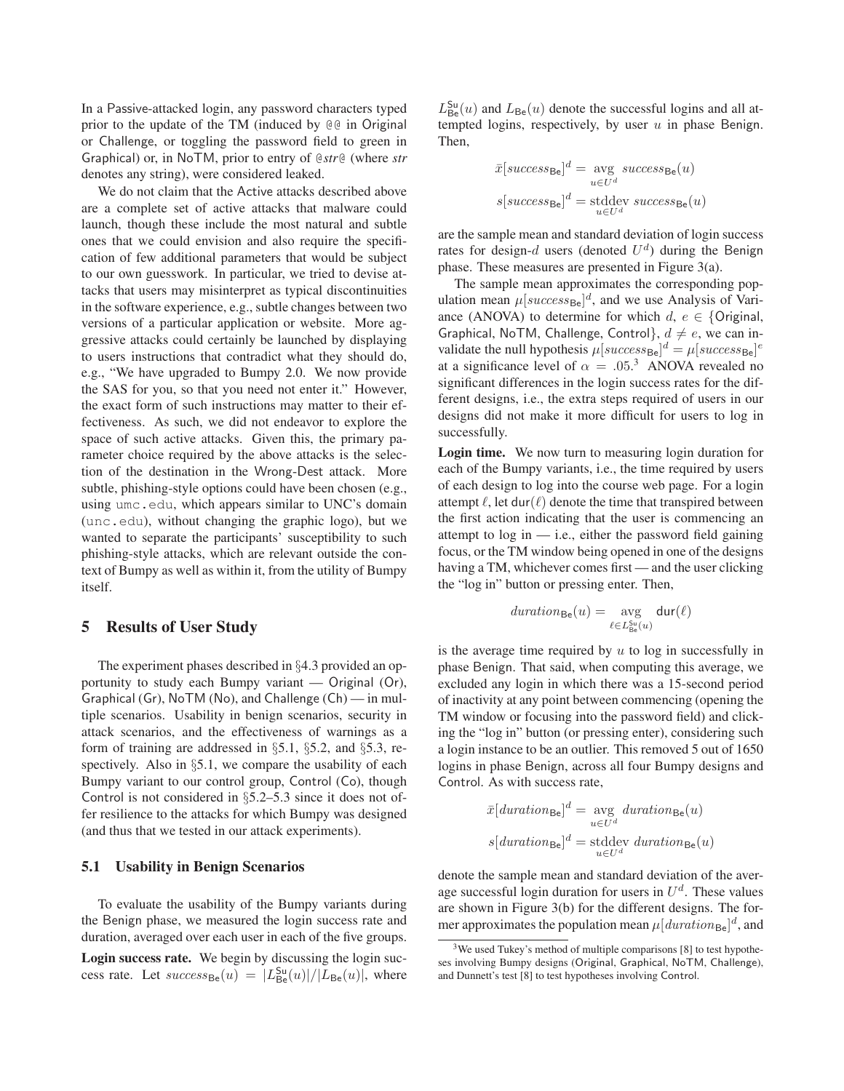In a Passive-attacked login, any password characters typed prior to the update of the TM (induced by @@ in Original or Challenge, or toggling the password field to green in Graphical) or, in NoTM, prior to entry of @*str*@ (where *str* denotes any string), were considered leaked.

We do not claim that the Active attacks described above are a complete set of active attacks that malware could launch, though these include the most natural and subtle ones that we could envision and also require the specification of few additional parameters that would be subject to our own guesswork. In particular, we tried to devise attacks that users may misinterpret as typical discontinuities in the software experience, e.g., subtle changes between two versions of a particular application or website. More aggressive attacks could certainly be launched by displaying to users instructions that contradict what they should do, e.g., "We have upgraded to Bumpy 2.0. We now provide the SAS for you, so that you need not enter it." However, the exact form of such instructions may matter to their effectiveness. As such, we did not endeavor to explore the space of such active attacks. Given this, the primary parameter choice required by the above attacks is the selection of the destination in the Wrong-Dest attack. More subtle, phishing-style options could have been chosen (e.g., using umc.edu, which appears similar to UNC's domain (unc.edu), without changing the graphic logo), but we wanted to separate the participants' susceptibility to such phishing-style attacks, which are relevant outside the context of Bumpy as well as within it, from the utility of Bumpy itself.

## **5 Results of User Study**

The experiment phases described in §4.3 provided an opportunity to study each Bumpy variant — Original (Or), Graphical (Gr), NoTM (No), and Challenge (Ch) — in multiple scenarios. Usability in benign scenarios, security in attack scenarios, and the effectiveness of warnings as a form of training are addressed in §5.1, §5.2, and §5.3, respectively. Also in  $\S5.1$ , we compare the usability of each Bumpy variant to our control group, Control (Co), though Control is not considered in §5.2–5.3 since it does not offer resilience to the attacks for which Bumpy was designed (and thus that we tested in our attack experiments).

#### **5.1 Usability in Benign Scenarios**

To evaluate the usability of the Bumpy variants during the Benign phase, we measured the login success rate and duration, averaged over each user in each of the five groups.

**Login success rate.** We begin by discussing the login success rate. Let  $success_{Be}(u) = |L_{Be}^{Su}(u)|/|L_{Be}(u)|$ , where

 $L_{\text{Be}}^{\text{Su}}(u)$  and  $L_{\text{Be}}(u)$  denote the successful logins and all attempted logins, respectively, by user  $u$  in phase Benign. Then,

$$
\bar{x}[success_{\text{Be}}]^{d} = \underset{u \in U^{d}}{\text{avg}}{success_{\text{Be}}(u)}
$$
\n
$$
s[success_{\text{Be}}]^{d} = \text{stddev}{}{success_{\text{Be}}(u)}
$$

are the sample mean and standard deviation of login success rates for design-d users (denoted  $U<sup>d</sup>$ ) during the Benign phase. These measures are presented in Figure 3(a).

The sample mean approximates the corresponding population mean  $\mu[success_{\text{Be}}]^{d}$ , and we use Analysis of Variance (ANOVA) to determine for which  $d, e \in$  {Original, Graphical, NoTM, Challenge, Control},  $d \neq e$ , we can invalidate the null hypothesis  $\mu[success_{\text{Be}}]^d = \mu[success_{\text{Be}}]^e$ at a significance level of  $\alpha = .05$ <sup>3</sup> ANOVA revealed no significant differences in the login success rates for the different designs, i.e., the extra steps required of users in our designs did not make it more difficult for users to log in successfully.

**Login time.** We now turn to measuring login duration for each of the Bumpy variants, i.e., the time required by users of each design to log into the course web page. For a login attempt  $\ell$ , let dur $(\ell)$  denote the time that transpired between the first action indicating that the user is commencing an attempt to  $log in$  — i.e., either the password field gaining focus, or the TM window being opened in one of the designs having a TM, whichever comes first — and the user clicking the "log in" button or pressing enter. Then,

$$
\mathit{duration}_{\mathsf{Be}}(u) = \underset{\ell \in L_{\mathsf{Be}}^{\mathsf{Su}}(u)}{\mathrm{avg}} \mathsf{dur}(\ell)
$$

is the average time required by  $u$  to log in successfully in phase Benign. That said, when computing this average, we excluded any login in which there was a 15-second period of inactivity at any point between commencing (opening the TM window or focusing into the password field) and clicking the "log in" button (or pressing enter), considering such a login instance to be an outlier. This removed 5 out of 1650 logins in phase Benign, across all four Bumpy designs and Control. As with success rate,

$$
\bar{x}[duration_{\text{Be}}]^d = \underset{u \in U^d}{\text{avg}} duration_{\text{Be}}(u)
$$
\n
$$
s[duration_{\text{Be}}]^d = \underset{u \in U^d}{\text{stddev duration}}_{\text{Be}}(u)
$$

denote the sample mean and standard deviation of the average successful login duration for users in  $U^d$ . These values are shown in Figure 3(b) for the different designs. The former approximates the population mean  $\mu[duration_{\text{Be}}]^d$ , and

 $3$ We used Tukey's method of multiple comparisons [8] to test hypotheses involving Bumpy designs (Original, Graphical, NoTM, Challenge), and Dunnett's test [8] to test hypotheses involving Control.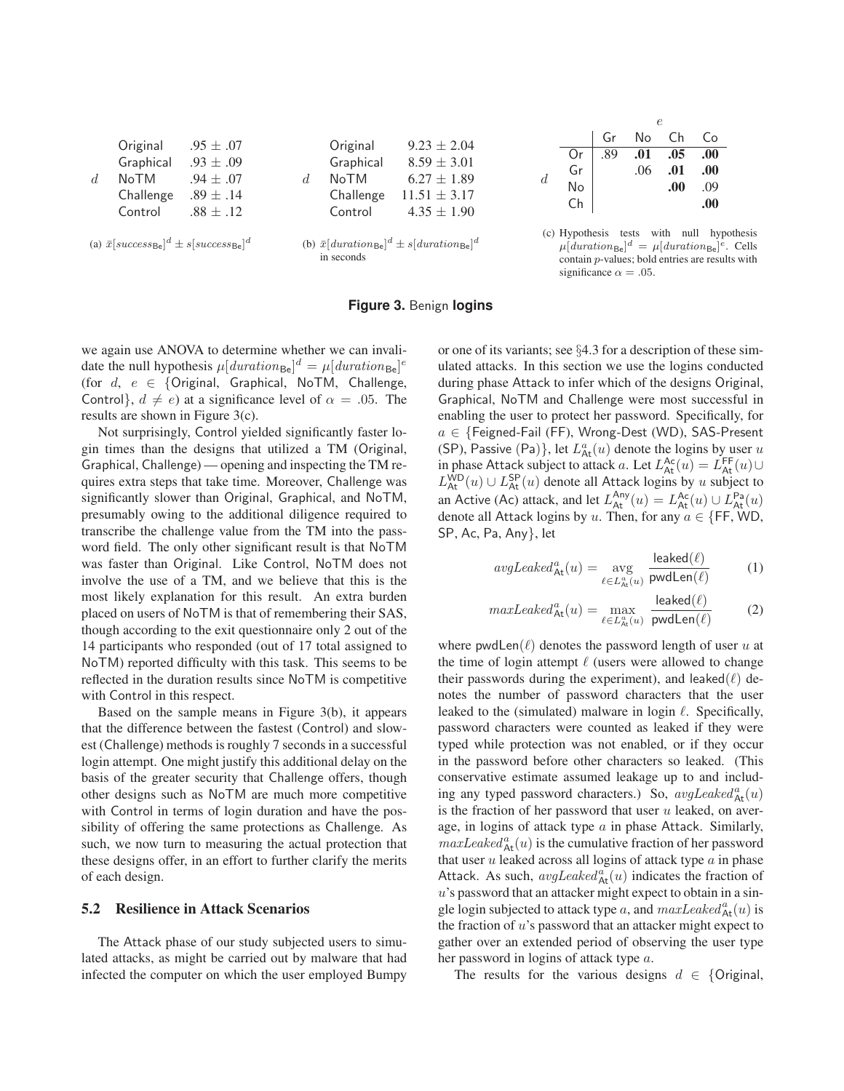

#### **Figure 3.** Benign **logins**

we again use ANOVA to determine whether we can invalidate the null hypothesis  $\mu[duration_{\text{Be}}]^d = \mu[duration_{\text{Be}}]^e$ (for  $d, e \in$  {Original, Graphical, NoTM, Challenge, Control},  $d \neq e$ ) at a significance level of  $\alpha = .05$ . The results are shown in Figure 3(c).

Not surprisingly, Control yielded significantly faster login times than the designs that utilized a TM (Original, Graphical, Challenge) — opening and inspecting the TM requires extra steps that take time. Moreover, Challenge was significantly slower than Original, Graphical, and NoTM, presumably owing to the additional diligence required to transcribe the challenge value from the TM into the password field. The only other significant result is that NoTM was faster than Original. Like Control, NoTM does not involve the use of a TM, and we believe that this is the most likely explanation for this result. An extra burden placed on users of NoTM is that of remembering their SAS, though according to the exit questionnaire only 2 out of the 14 participants who responded (out of 17 total assigned to NoTM) reported difficulty with this task. This seems to be reflected in the duration results since NoTM is competitive with Control in this respect.

Based on the sample means in Figure 3(b), it appears that the difference between the fastest (Control) and slowest (Challenge) methods is roughly 7 seconds in a successful login attempt. One might justify this additional delay on the basis of the greater security that Challenge offers, though other designs such as NoTM are much more competitive with Control in terms of login duration and have the possibility of offering the same protections as Challenge. As such, we now turn to measuring the actual protection that these designs offer, in an effort to further clarify the merits of each design.

### **5.2 Resilience in Attack Scenarios**

The Attack phase of our study subjected users to simulated attacks, as might be carried out by malware that had infected the computer on which the user employed Bumpy

or one of its variants; see §4.3 for a description of these simulated attacks. In this section we use the logins conducted during phase Attack to infer which of the designs Original, Graphical, NoTM and Challenge were most successful in enabling the user to protect her password. Specifically, for  $a \in \{F$ eigned-Fail (FF), Wrong-Dest (WD), SAS-Present (SP), Passive (Pa)}, let  $L^a_{\text{At}}(u)$  denote the logins by user u in phase Attack subject to attack a. Let  $L_{\text{At}}^{\text{Ac}}(u) = L_{\text{At}}^{\text{FF}}(u) \cup$  $L_{\text{At}}^{\text{WD}}(u) \cup L_{\text{At}}^{\text{SP}}(u)$  denote all Attack logins by u subject to an Active (Ac) attack, and let  $L_{\text{At}}^{\text{Any}}(u) = L_{\text{At}}^{\text{Ac}}(u) \cup L_{\text{At}}^{\text{Pa}}(u)$ denote all Attack logins by u. Then, for any  $a \in \{FF, WD,$ SP, Ac, Pa, Any}, let

significance  $\alpha = .05$ .

$$
avgLeaked_{\mathsf{At}}^{a}(u) = \underset{\ell \in L_{\mathsf{At}}^{a}(u)}{\text{avg}} \frac{\text{leaked}(\ell)}{\text{pwdLen}(\ell)} \tag{1}
$$

$$
maxLeaked_{\mathsf{At}}^{a}(u) = \max_{\ell \in L_{\mathsf{At}}^{a}(u)} \frac{\mathsf{leaked}(\ell)}{\mathsf{pwdlen}(\ell)} \tag{2}
$$

where pwdLen( $\ell$ ) denotes the password length of user u at the time of login attempt  $\ell$  (users were allowed to change their passwords during the experiment), and leaked( $\ell$ ) denotes the number of password characters that the user leaked to the (simulated) malware in login  $\ell$ . Specifically, password characters were counted as leaked if they were typed while protection was not enabled, or if they occur in the password before other characters so leaked. (This conservative estimate assumed leakage up to and including any typed password characters.) So,  $avgLeaked^a_{\text{At}}(u)$ is the fraction of her password that user  $u$  leaked, on average, in logins of attack type  $a$  in phase Attack. Similarly,  $maxLeake d^a_{\text{At}}(u)$  is the cumulative fraction of her password that user  $u$  leaked across all logins of attack type  $a$  in phase Attack. As such,  $avgLeaked^a_{\text{At}}(u)$  indicates the fraction of  $u$ 's password that an attacker might expect to obtain in a single login subjected to attack type a, and  $maxLeaked^a_{\text{At}}(u)$  is the fraction of  $u$ 's password that an attacker might expect to gather over an extended period of observing the user type her password in logins of attack type a.

The results for the various designs  $d \in$  {Original,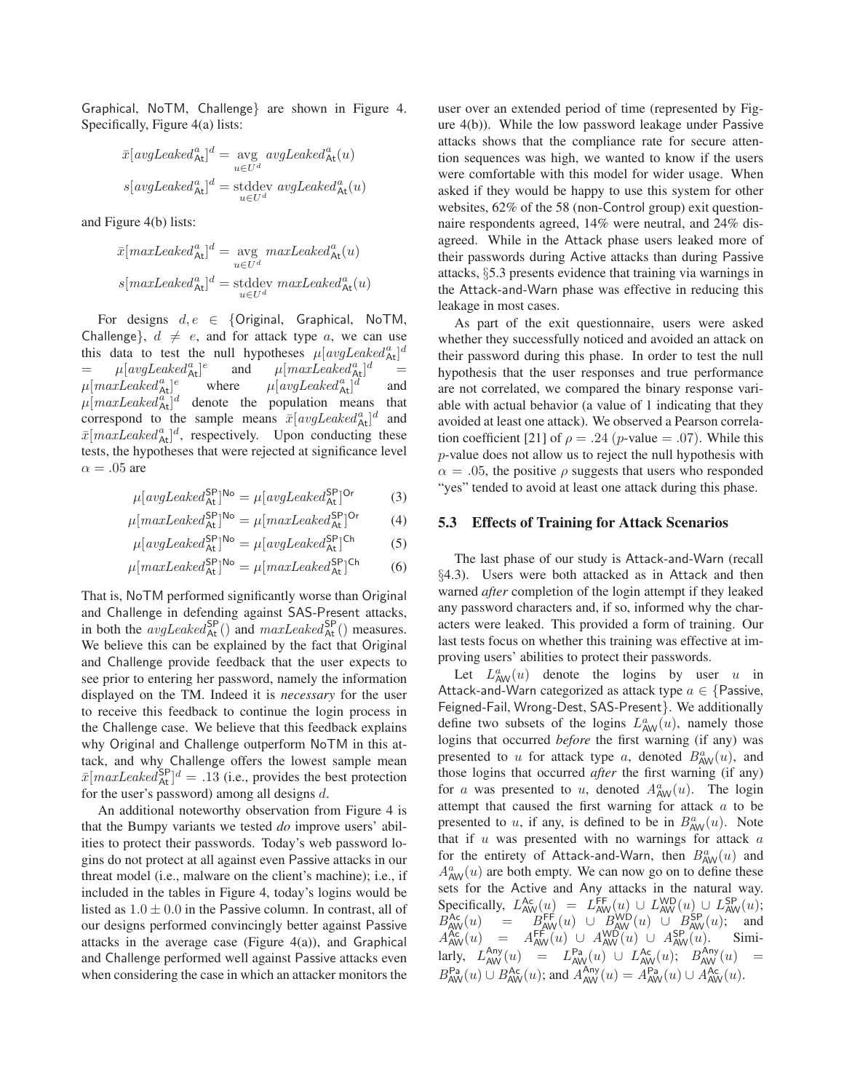Graphical, NoTM, Challenge} are shown in Figure 4. Specifically, Figure 4(a) lists:

$$
\bar{x}[avgLeaked_{\mathsf{At}}^{a}]^{d} = \underset{u \in U^{d}}{\text{avg}} avgLeaked_{\mathsf{At}}^{a}(u)
$$
\n
$$
s[avgLeaked_{\mathsf{At}}^{a}]^{d} = \text{stddev} avgLeaked_{\mathsf{At}}^{a}(u)
$$

and Figure 4(b) lists:

$$
\bar{x}[maxLeaked_{\mathsf{At}}^{a}]^{d} = \underset{u \in U^{d}}{\text{avg}} maxLeaked_{\mathsf{At}}^{a}(u)
$$
\n
$$
s[maxLeaked_{\mathsf{At}}^{a}]^{d} = \text{stddev} maxLeaked_{\mathsf{At}}^{a}(u)
$$

For designs  $d, e \in \{Original,$  Graphical, NoTM, Challenge,  $d \neq e$ , and for attack type a, we can use this data to test the null hypotheses  $\mu[avgLeaked^a_{\text{At}}]^d$  $=$   $\mu[avgLeaked^a_{\text{At}}]^e$ and  $\mu$ [maxLeaked<sup>a</sup>At]<sup>d</sup> =  $\mu [maxLeaked^a_{\operatorname{\mathsf{At}}}]$  $e^{i\omega}$  where  $\mu[avgLeaked^a_{\text{At}}]^d$ and  $\mu$ [*maxLeaked* $_{\text{At}}^{\alpha}$ ]<sup>*d*</sup> denote the population means that correspond to the sample means  $\bar{x}[avgLeader_{At}]^d$  and  $\bar{x}$ [maxLeaked<sup>a</sup><sub>At</sub>]<sup>d</sup>, respectively. Upon conducting these tests, the hypotheses that were rejected at significance level  $\alpha = .05$  are

$$
\mu[avgLeader_{\mathsf{At}}^{\mathsf{SP}}]^{\mathsf{No}} = \mu[avgLeader_{\mathsf{At}}^{\mathsf{SP}}]^{\mathsf{Or}} \tag{3}
$$

$$
\mu[maxLeaked_{\text{At}}^{\text{SP}}]^{No} = \mu[maxLeaked_{\text{At}}^{\text{SP}}]^{Or} \tag{4}
$$

$$
\mu[avgLeader_{At}^{SP}]^{No} = \mu[avgLeader_{At}^{SP}]^{Ch} \tag{5}
$$

$$
\mu[maxLeaked_{\text{At}}^{\text{SP}}]^{\text{No}} = \mu[maxLeaked_{\text{At}}^{\text{SP}}]^{\text{Ch}} \tag{6}
$$

That is, NoTM performed significantly worse than Original and Challenge in defending against SAS-Present attacks, in both the  $avgLeaked_{\text{At}}^{\text{SP}}()$  and  $maxLeaked_{\text{At}}^{\text{SP}}()$  measures. We believe this can be explained by the fact that Original and Challenge provide feedback that the user expects to see prior to entering her password, namely the information displayed on the TM. Indeed it is *necessary* for the user to receive this feedback to continue the login process in the Challenge case. We believe that this feedback explains why Original and Challenge outperform NoTM in this attack, and why Challenge offers the lowest sample mean  $\bar{x}$ [maxLeaked $_{\rm At}^{\rm SP}$ ]<sup>d</sup> = .13 (i.e., provides the best protection for the user's password) among all designs d.

An additional noteworthy observation from Figure 4 is that the Bumpy variants we tested *do* improve users' abilities to protect their passwords. Today's web password logins do not protect at all against even Passive attacks in our threat model (i.e., malware on the client's machine); i.e., if included in the tables in Figure 4, today's logins would be listed as  $1.0 \pm 0.0$  in the Passive column. In contrast, all of our designs performed convincingly better against Passive attacks in the average case (Figure  $4(a)$ ), and Graphical and Challenge performed well against Passive attacks even when considering the case in which an attacker monitors the

user over an extended period of time (represented by Figure 4(b)). While the low password leakage under Passive attacks shows that the compliance rate for secure attention sequences was high, we wanted to know if the users were comfortable with this model for wider usage. When asked if they would be happy to use this system for other websites, 62% of the 58 (non-Control group) exit questionnaire respondents agreed, 14% were neutral, and 24% disagreed. While in the Attack phase users leaked more of their passwords during Active attacks than during Passive attacks, §5.3 presents evidence that training via warnings in the Attack-and-Warn phase was effective in reducing this leakage in most cases.

As part of the exit questionnaire, users were asked whether they successfully noticed and avoided an attack on their password during this phase. In order to test the null hypothesis that the user responses and true performance are not correlated, we compared the binary response variable with actual behavior (a value of 1 indicating that they avoided at least one attack). We observed a Pearson correlation coefficient [21] of  $\rho = .24$  (p-value = .07). While this p-value does not allow us to reject the null hypothesis with  $\alpha = 0.05$ , the positive  $\rho$  suggests that users who responded "yes" tended to avoid at least one attack during this phase.

#### **5.3 Effects of Training for Attack Scenarios**

The last phase of our study is Attack-and-Warn (recall §4.3). Users were both attacked as in Attack and then warned *after* completion of the login attempt if they leaked any password characters and, if so, informed why the characters were leaked. This provided a form of training. Our last tests focus on whether this training was effective at improving users' abilities to protect their passwords.

Let  $L^a_{AW}(u)$  denote the logins by user u in Attack-and-Warn categorized as attack type  $a \in \{P$ assive, Feigned-Fail, Wrong-Dest, SAS-Present}. We additionally define two subsets of the logins  $L^a_{AW}(u)$ , namely those logins that occurred *before* the first warning (if any) was presented to u for attack type a, denoted  $B_{AW}^a(u)$ , and those logins that occurred *after* the first warning (if any) for a was presented to u, denoted  $A^a_{AW}(u)$ . The login attempt that caused the first warning for attack a to be presented to u, if any, is defined to be in  $B_{AW}^a(u)$ . Note that if  $u$  was presented with no warnings for attack  $a$ for the entirety of Attack-and-Warn, then  $B_{AW}^a(u)$  and  $A^a_{\text{AW}}(u)$  are both empty. We can now go on to define these sets for the Active and Any attacks in the natural way. Specifically,  $L_{AW}^{Ac}(u) = L_{AW}^{FF}(u) \cup L_{AW}^{WD}(u) \cup L_{AW}^{SP}(u);$  $B_{\text{AW}}^{\text{Ac}}(u)$  =  $B_{\text{AW}}^{\text{FF}}(u)$   $\cup$   $B_{\text{AW}}^{\text{WD}}(u)$   $\cup$   $B_{\text{AW}}^{\text{SP}}(u)$ ; and  $A_{\text{AW}}^{\text{Ac}}(u) = A_{\text{AW}}^{\text{FF}}(u) \cup A_{\text{AW}}^{\text{WD}}(u) \cup A_{\text{AW}}^{\text{SP}}(u).$  Similarly,  $L_{AW}^{Any}(u) = L_{AW}^{Pa}(u) \cup L_{AW}^{Ac}(u); B_{AW}^{Any}(u) =$  $B_{\text{AW}}^{\text{Pa}}(u) \cup B_{\text{AW}}^{\text{Ac}}(u)$ ; and  $A_{\text{AW}}^{\text{Any}}(u) = A_{\text{AW}}^{\text{Pa}}(u) \cup A_{\text{AW}}^{\text{Ac}}(u)$ .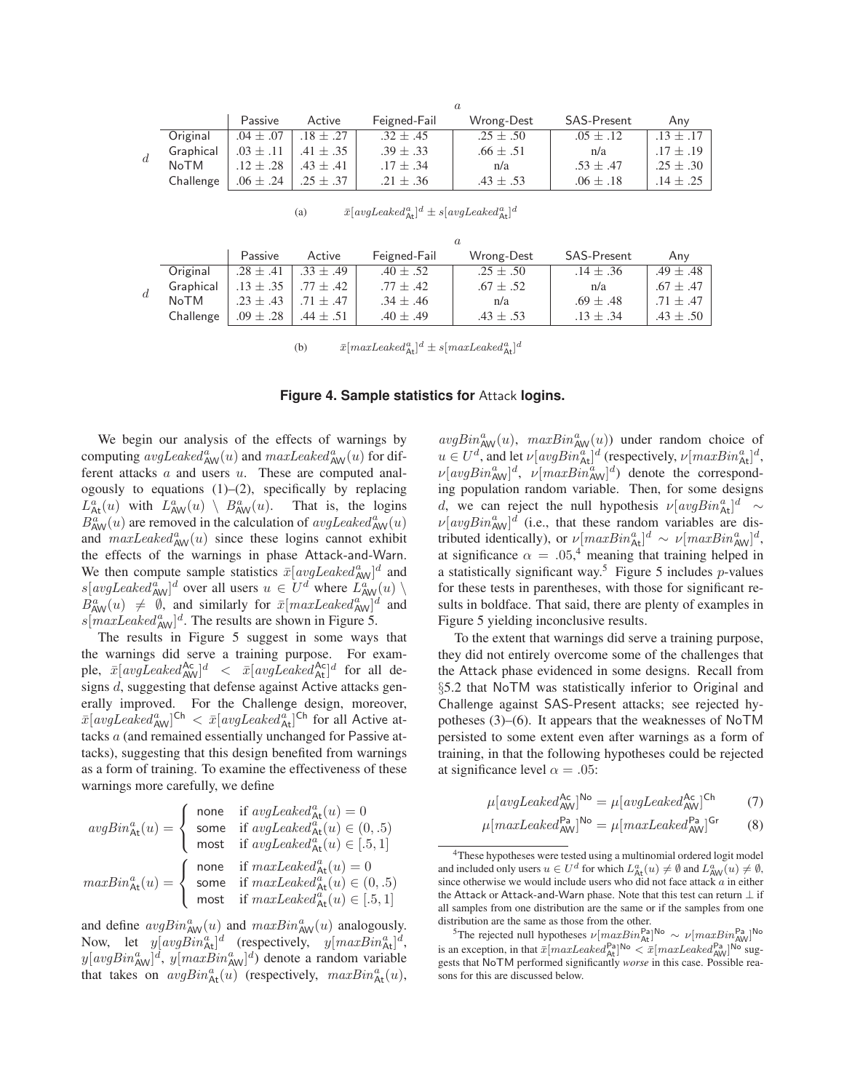|       |           | Passive       | Active        | Feigned-Fail  | Wrong-Dest    | <b>SAS-Present</b> | Anv           |
|-------|-----------|---------------|---------------|---------------|---------------|--------------------|---------------|
| $d\,$ | Original  | $.04 \pm .07$ | $.18 + .27$   | $.32 \pm .45$ | $.25 \pm .50$ | $.05 \pm .12$      | $.13 + .17$   |
|       | Graphical | $.03 \pm .11$ | $.41 \pm .35$ | $.39 \pm .33$ | $.66 \pm .51$ | n/a                | $.17 \pm .19$ |
|       | NoTM      | $.12 + .28$   | $.43 + .41$   | $.17 \pm .34$ | n/a           | $.53 \pm .47$      | $.25 \pm .30$ |
|       | Challenge | $.06 \pm .24$ | $.25 \pm .37$ | $.21 \pm .36$ | $.43 \pm .53$ | $.06 \pm .18$      | $.14 \pm .25$ |

| (a) | $\bar{x}[avgLeader^a_{\text{At}}]^d \pm s[avgLeader^a_{\text{At}}]^d$ |
|-----|-----------------------------------------------------------------------|
|-----|-----------------------------------------------------------------------|

|   |           | Passive       | Active        | Feigned-Fail  | Wrong-Dest    | <b>SAS-Present</b> | Anv           |
|---|-----------|---------------|---------------|---------------|---------------|--------------------|---------------|
|   | Original  | $.28 \pm .41$ | $.33 \pm .49$ | $.40 \pm .52$ | $.25 \pm .50$ | $.14 \pm .36$      | $.49 \pm .48$ |
| d | Graphical | $.13 \pm .35$ | $.77 \pm .42$ | $.77 \pm .42$ | $.67 \pm .52$ | n/a                | $.67 + .47$   |
|   | NoTM      | $.23 + .43$   | $.71 + .47$   | $.34 \pm .46$ | n/a           | $.69 \pm .48$      | .71 $\pm$ .47 |
|   | Challenge | $.09 \pm .28$ | $.44 \pm .51$ | $.40 \pm .49$ | $.43 \pm .53$ | $.13 \pm .34$      | $.43 \pm .50$ |

a

(b)  $\bar{x}[maxLeaked_{\text{At}}^{a}]^{d} \pm s[maxLeaked_{\text{At}}^{a}]^{d}$ 

#### **Figure 4. Sample statistics for** Attack **logins.**

We begin our analysis of the effects of warnings by computing  $avgLeaked_{AW}^{\alpha}(u)$  and  $maxLeaked_{AW}^{\alpha}(u)$  for different attacks  $a$  and users  $u$ . These are computed analogously to equations  $(1)$ – $(2)$ , specifically by replacing  $L_{\text{At}}^{a}(u)$  with  $L_{\text{AW}}^{a}(u) \setminus B_{\text{AW}}^{a}(u)$ . That is, the logins  $B_{\text{AW}}^{a}$ (*u*) are removed in the calculation of *avgLeaked*<sup>a</sup><sub>AW</sub>(*u*) and  $maxLeaked^a_{\text{AW}}(u)$  since these logins cannot exhibit the effects of the warnings in phase Attack-and-Warn. We then compute sample statistics  $\bar{x}[avgLeader^a_{AW}]^d$  and  $s[avgLeader_{AW}^a]^d$  over all users  $u \in U^d$  where  $\mathcal{L}_{AW}^{av}(u) \setminus$  $B_{\text{AW}}^{a}(u) \neq \emptyset$ , and similarly for  $\bar{x}[maxLeaked_{\text{AW}}^{a}]\hat{d}$  and  $s[\text{maxLeaked}_{\text{AW}}^a]^d$ . The results are shown in Figure 5.

The results in Figure 5 suggest in some ways that the warnings did serve a training purpose. For example,  $\bar{x}[avgLeaked_{\text{AW}}^{\text{Ac}}]^d$  <  $\bar{x}[avgLeaked_{\text{At}}^{\text{Ac}}]^d$  for all designs d, suggesting that defense against Active attacks generally improved. For the Challenge design, moreover,  $\bar{x}[avgLeaked^a_{\text{AW}}]^{\text{Ch}} < \bar{x}[avgLeaked^{\alpha}_{\text{At}}]^{\text{Ch}}$  for all Active attacks a (and remained essentially unchanged for Passive attacks), suggesting that this design benefited from warnings as a form of training. To examine the effectiveness of these warnings more carefully, we define

$$
\textit{avgBin}_{\text{At}}^{a}(u) = \left\{ \begin{array}{ll} \text{none} & \text{if}\ \textit{avgLeaked}_{\text{At}}^{a}(u) = 0 \\ \text{some} & \text{if}\ \textit{avgLeaked}_{\text{At}}^{a}(u) \in (0,.5) \\ \text{most} & \text{if}\ \textit{avgLeaked}_{\text{At}}^{a}(u) \in [.5,1] \end{array} \right.
$$
\n
$$
\textit{maxBin}_{\text{At}}^{a}(u) = \left\{ \begin{array}{ll} \text{none} & \text{if}\ \textit{maxLeaked}_{\text{At}}^{a}(u) = 0 \\ \text{some} & \text{if}\ \textit{maxLeaked}_{\text{At}}^{a}(u) \in (0,.5) \\ \text{most} & \text{if}\ \textit{maxLeaked}_{\text{At}}^{a}(u) \in [.5,1] \end{array} \right.
$$

and define  $avgBin_{AW}^a(u)$  and  $maxBin_{AW}^a(u)$  analogously. Now, let  $y[avgBin_{\text{At}}^{\alpha}]^d$  (respectively,  $y[maxBin_{\text{At}}^{\alpha}]^d$ ,  $y[avgBin_{AW}^{\alpha}]^d$ ,  $y[maxBin_{AW}^{\alpha}]^d$ ) denote a random variable that takes on  $avgBin_{\mathsf{At}}^a(u)$  (respectively,  $maxBin_{\mathsf{At}}^a(u)$ ,  $avgBin_{AW}^a(u)$ ,  $maxBin_{AW}^a(u)$ ) under random choice of  $u \in U^d$ , and let  $\nu[avgBin_{\mathsf{At}}^a]^d$  (respectively,  $\nu[maxBin_{\mathsf{At}}^a]^d$ ,  $\nu[avgBin_{AW}^a]^d$ ,  $\nu[maxBin_{AW}^a]^d$  denote the corresponding population random variable. Then, for some designs d, we can reject the null hypothesis  $\nu [avgBin_{\text{At}}^{\alpha}]^d$  ~  $\nu[avgBin_{AW}^a]^d$  (i.e., that these random variables are distributed identically), or  $\nu [maxBin_{\text{At}}^a]^d \sim \nu [maxBin_{\text{AW}}^a]^d$ , at significance  $\alpha = .05,4$  meaning that training helped in a statistically significant way.<sup>5</sup> Figure 5 includes  $p$ -values for these tests in parentheses, with those for significant results in boldface. That said, there are plenty of examples in Figure 5 yielding inconclusive results.

To the extent that warnings did serve a training purpose, they did not entirely overcome some of the challenges that the Attack phase evidenced in some designs. Recall from §5.2 that NoTM was statistically inferior to Original and Challenge against SAS-Present attacks; see rejected hypotheses (3)–(6). It appears that the weaknesses of NoTM persisted to some extent even after warnings as a form of training, in that the following hypotheses could be rejected at significance level  $\alpha = .05$ :

$$
\mu[avgLeaked_{\mathsf{AW}}^{\mathsf{Ac}}]^{\mathsf{No}} = \mu[avgLeaked_{\mathsf{AW}}^{\mathsf{Ac}}]^{\mathsf{Ch}} \tag{7}
$$

$$
\mu [maxLeaked_{\text{AW}}^{\text{Pa}}]^{N\text{o}} = \mu [maxLeaked_{\text{AW}}^{\text{Pa}}]^{Gr} \qquad (8)
$$

<sup>&</sup>lt;sup>4</sup>These hypotheses were tested using a multinomial ordered logit model and included only users  $u \in U^d$  for which  $L^a_{\text{Att}}(u) \neq \emptyset$  and  $L^a_{\text{AW}}(u) \neq \emptyset$ , since otherwise we would include users who did not face attack a in either the Attack or Attack-and-Warn phase. Note that this test can return  $\bot$  if all samples from one distribution are the same or if the samples from one distribution are the same as those from the other.

<sup>&</sup>lt;sup>5</sup>The rejected null hypotheses  $\nu$ [ $maxBin_{At}^{Pa}$ ]<sup>No</sup> ~  $\nu$ [ $maxBin_{AW}^{Pa}$ ]<sup>No</sup> is an exception, in that  $\bar{x}[maxLeaked_{At}^{Pa}]^{No} < \bar{x}[maxLeaked_{AW}^{Pa}]^{No}$  suggests that NoTM performed significantly *worse* in this case. Possible reasons for this are discussed below.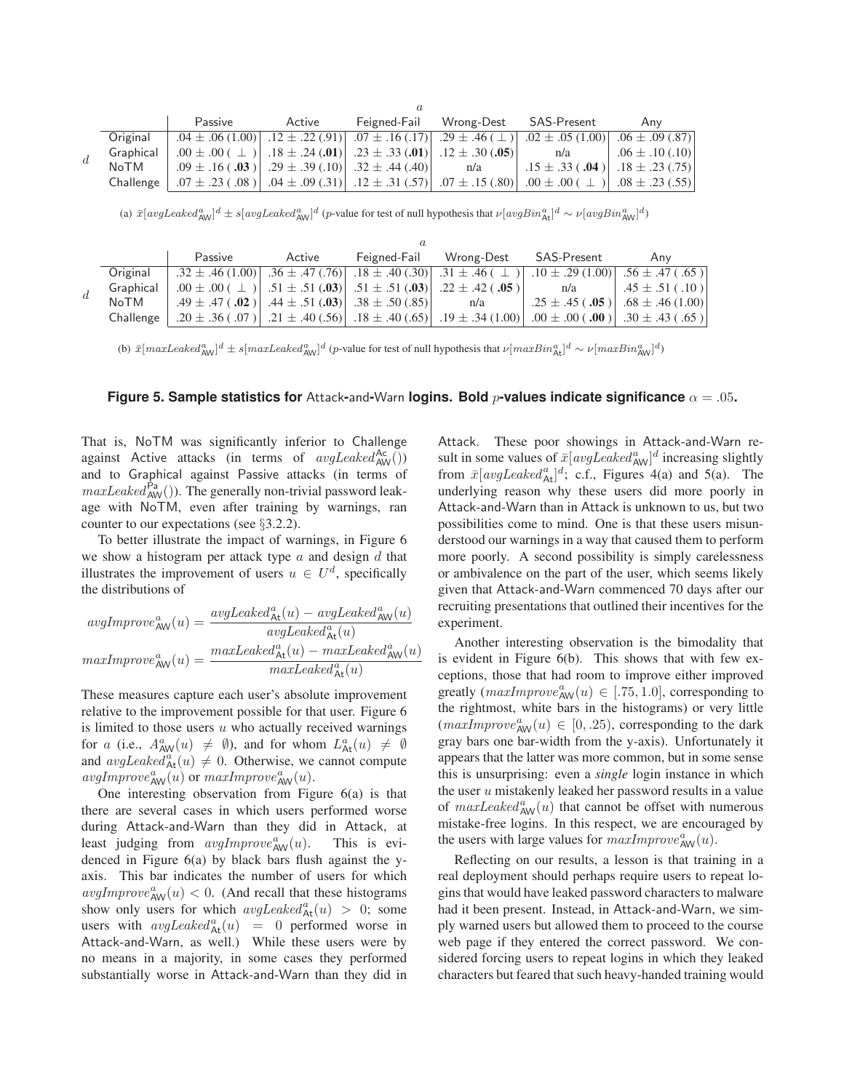|  |           | Passive                                                                                                                                                    | Active | Feigned-Fail | Wrong-Dest | SAS-Present                                                                                                                     | Anv                 |
|--|-----------|------------------------------------------------------------------------------------------------------------------------------------------------------------|--------|--------------|------------|---------------------------------------------------------------------------------------------------------------------------------|---------------------|
|  | Original  |                                                                                                                                                            |        |              |            | $0.04 \pm 0.06(1.00)$ $1.2 \pm 0.22(0.91)$ $0.07 \pm 0.16(0.17)$ $2.9 \pm 0.46(1.1)$ $0.02 \pm 0.05(1.00)$ $0.6 \pm 0.09(0.87)$ |                     |
|  | Graphical | .00 ± .00 ( $\perp$ )   .18 ± .24 (.01)   .23 ± .33 (.01)   .12 ± .30 (.05)                                                                                |        |              |            | n/a                                                                                                                             | $.06 \pm .10$ (.10) |
|  | NoTM      | .09 $\pm$ .16 (.03)   .29 $\pm$ .39 (.10)   .32 $\pm$ .44 (.40)   n/a                                                                                      |        |              |            | $.15 \pm .33$ (.04)   .18 $\pm .23$ (.75)                                                                                       |                     |
|  | Challenge | $(0.55)$ $(0.08)$ $(0.8)$ $(0.8)$ $(0.4 \pm 0.09)$ $(0.31)$ $(0.2 \pm 0.31)$ $(0.57)$ $(0.7 \pm 0.15)$ $(0.8)$ $(0.00 \pm 0.00)$ $(0.1 \pm 0.08)$ $(0.55)$ |        |              |            |                                                                                                                                 |                     |

(a)  $\bar{x}[avgLeaked_{AW}^a]^d \pm s[avgLeaked_{AW}^a]^d$  (p-value for test of null hypothesis that  $\nu[avgBin_{At}^a]^d \sim \nu[avgBin_{AW}^a]^d$ )

|    |           | Passive                                                         | Active | Feigned-Fail | Wrong-Dest                                                                            | SAS-Present                                                                                                                | Anv                                        |
|----|-----------|-----------------------------------------------------------------|--------|--------------|---------------------------------------------------------------------------------------|----------------------------------------------------------------------------------------------------------------------------|--------------------------------------------|
|    | Original  |                                                                 |        |              |                                                                                       | $.32 \pm .46(1.00)$ $.36 \pm .47(.76)$ $.18 \pm .40(.30)$ $.31 \pm .46$ $( \perp )$ $.10 \pm .29(1.00)$ $.56 \pm .47(.65)$ |                                            |
| d. | Graphical |                                                                 |        |              | $.00 \pm .00$ ( $\perp$ ) $.51 \pm .51$ (.03) $.51 \pm .51$ (.03) $.22 \pm .42$ (.05) | n/a                                                                                                                        | $.45 \pm .51$ (.10)                        |
|    | NoTM      | $.49 \pm .47$ (.02)   .44 $\pm .51$ (.03)   .38 $\pm .50$ (.85) |        |              | n/a                                                                                   |                                                                                                                            | $.25 \pm .45$ (.05) $  .68 \pm .46$ (1.00) |
|    | Challenge |                                                                 |        |              | .20 ± .36 (.07)   .21 ± .40 (.56)   .18 ± .40 (.65)   .19 ± .34 (1.00)                | $(0.00, 0.00, \pm 0.00)$                                                                                                   | $.30 \pm .43$ (.65)                        |

(b)  $\bar{x}[maxLeaked_{AW}^a]^d \pm s[maxLeaked_{AW}^a]^d$  (p-value for test of null hypothesis that  $\nu[maxBin_{At}^a]^d \sim \nu[maxBin_{AW}^a]^d$ )

#### **Figure 5. Sample statistics for** Attack-and-Warn **logins. Bold** p-values indicate significance  $\alpha = .05$ .

That is, NoTM was significantly inferior to Challenge against Active attacks (in terms of  $avgLeader_{AW}($ )) and to Graphical against Passive attacks (in terms of  $maxLeaked_{AW}^{Pa}()$ . The generally non-trivial password leakage with NoTM, even after training by warnings, ran counter to our expectations (see §3.2.2).

To better illustrate the impact of warnings, in Figure 6 we show a histogram per attack type  $a$  and design  $d$  that illustrates the improvement of users  $u \in U^d$ , specifically the distributions of

$$
avgImprove_{\text{AW}}^{a}(u) = \frac{avgLeaked_{\text{At}}^{a}(u) - avgLeaked_{\text{AW}}^{a}(u)}{avgLeaked_{\text{At}}^{a}(u)}
$$

$$
maxImprove_{\text{AW}}^{a}(u) = \frac{maxLeaked_{\text{At}}^{a}(u) - maxLeaked_{\text{AW}}^{a}(u)}{maxLeaked_{\text{At}}^{a}(u)}
$$

These measures capture each user's absolute improvement relative to the improvement possible for that user. Figure 6 is limited to those users  $u$  who actually received warnings for a (i.e.,  $A^a_{AW}(u) \neq \emptyset$ ), and for whom  $L^a_{At}(u) \neq \emptyset$ and  $avgLeaked_{\text{At}}^{a}(u) \neq 0$ . Otherwise, we cannot compute  $avgImprove^a_{\text{AW}}(u)$  or  $maxImprove^a_{\text{AW}}(u)$ .

One interesting observation from Figure 6(a) is that there are several cases in which users performed worse during Attack-and-Warn than they did in Attack, at least judging from  $avgImprove_{AW}^{a}(u)$ . This is evidenced in Figure 6(a) by black bars flush against the yaxis. This bar indicates the number of users for which  $avgImprove_{AW}^{a}(u) < 0$ . (And recall that these histograms show only users for which  $avgLeaked^a_{\text{At}}(u) > 0$ ; some users with  $avgLeaked_{\text{At}}^{a}(u) = 0$  performed worse in Attack-and-Warn, as well.) While these users were by no means in a majority, in some cases they performed substantially worse in Attack-and-Warn than they did in

Attack. These poor showings in Attack-and-Warn result in some values of  $\bar{x}[avgLeader_{AW}]^d$  increasing slightly from  $\bar{x}[avgLeaked^a_{\text{At}}]^d$ ; c.f., Figures 4(a) and 5(a). The underlying reason why these users did more poorly in Attack-and-Warn than in Attack is unknown to us, but two possibilities come to mind. One is that these users misunderstood our warnings in a way that caused them to perform more poorly. A second possibility is simply carelessness or ambivalence on the part of the user, which seems likely given that Attack-and-Warn commenced 70 days after our recruiting presentations that outlined their incentives for the experiment.

Another interesting observation is the bimodality that is evident in Figure 6(b). This shows that with few exceptions, those that had room to improve either improved greatly  $(maxImprove_{AW}^a(u) \in [.75, 1.0]$ , corresponding to the rightmost, white bars in the histograms) or very little  $(maxImprove<sup>a</sup><sub>AW</sub>(u) \in [0, .25)$ , corresponding to the dark gray bars one bar-width from the y-axis). Unfortunately it appears that the latter was more common, but in some sense this is unsurprising: even a *single* login instance in which the user  $u$  mistakenly leaked her password results in a value of  $maxLeaked_{AW}^a(u)$  that cannot be offset with numerous mistake-free logins. In this respect, we are encouraged by the users with large values for  $maxImprove^a_{AW}(u)$ .

Reflecting on our results, a lesson is that training in a real deployment should perhaps require users to repeat logins that would have leaked password characters to malware had it been present. Instead, in Attack-and-Warn, we simply warned users but allowed them to proceed to the course web page if they entered the correct password. We considered forcing users to repeat logins in which they leaked characters but feared that such heavy-handed training would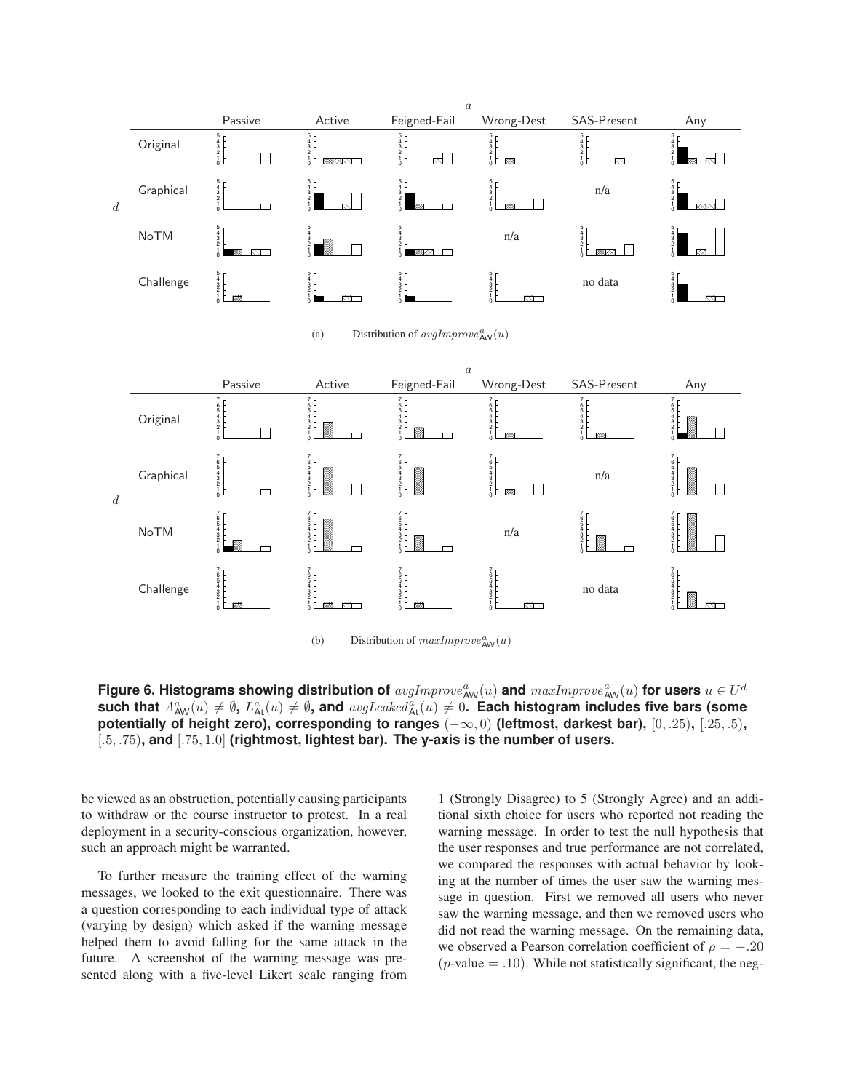

<code>Figure 6.</code> Histograms showing distribution of  $avgImprove_{\text{AW}}^a(u)$  and  $maxImprove_{\text{AW}}^a(u)$  for users  $u \in U^d$ such that  $A^a_{\sf AW}(u) \neq \emptyset$ ,  $L^a_{\sf Att}(u) \neq \emptyset$ , and  $\mathit{avgLeaked}^a_{\sf Att}(u) \neq 0$ . Each histogram includes five bars (some **potentially of height zero), corresponding to ranges** (−∞, 0) **(leftmost, darkest bar),** [0, .25)**,** [.25, .5)**,** [.5, .75)**, and** [.75, 1.0] **(rightmost, lightest bar). The y-axis is the number of users.**

be viewed as an obstruction, potentially causing participants to withdraw or the course instructor to protest. In a real deployment in a security-conscious organization, however, such an approach might be warranted.

To further measure the training effect of the warning messages, we looked to the exit questionnaire. There was a question corresponding to each individual type of attack (varying by design) which asked if the warning message helped them to avoid falling for the same attack in the future. A screenshot of the warning message was presented along with a five-level Likert scale ranging from

1 (Strongly Disagree) to 5 (Strongly Agree) and an additional sixth choice for users who reported not reading the warning message. In order to test the null hypothesis that the user responses and true performance are not correlated, we compared the responses with actual behavior by looking at the number of times the user saw the warning message in question. First we removed all users who never saw the warning message, and then we removed users who did not read the warning message. On the remaining data, we observed a Pearson correlation coefficient of  $\rho = -.20$  $(p$ -value  $= .10)$ . While not statistically significant, the neg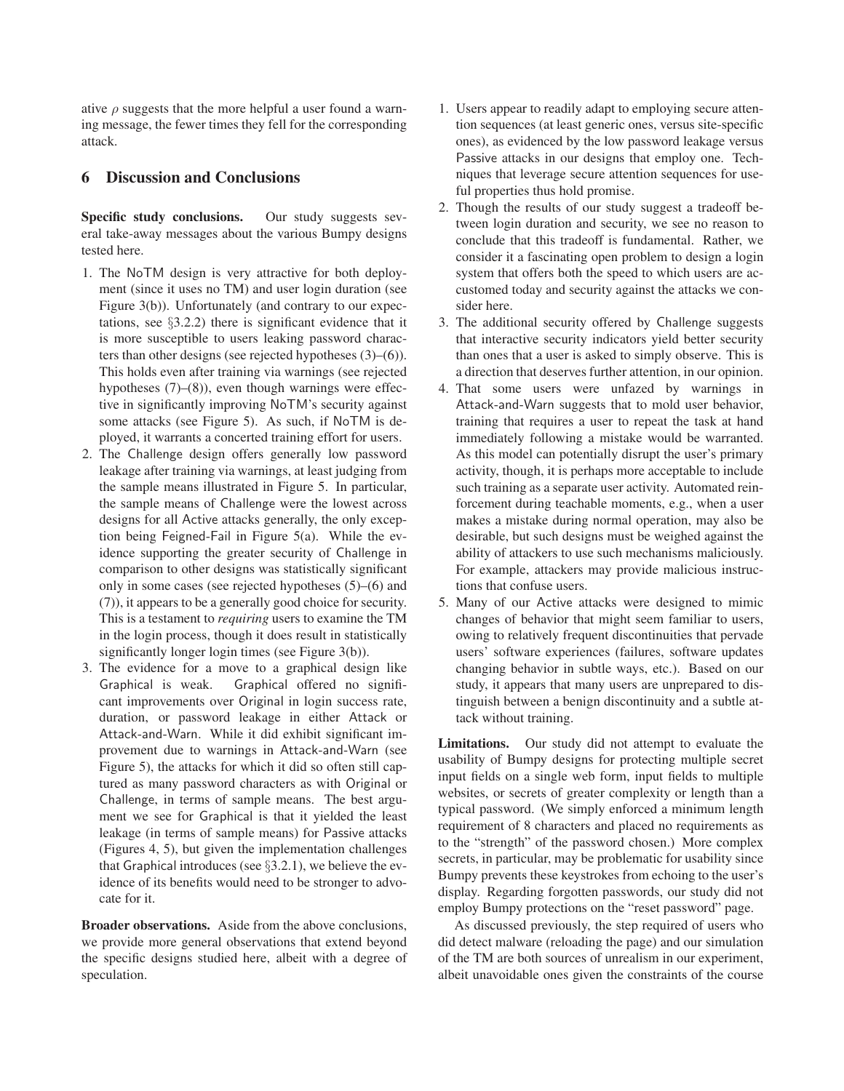ative  $\rho$  suggests that the more helpful a user found a warning message, the fewer times they fell for the corresponding attack.

## **6 Discussion and Conclusions**

**Specific study conclusions.** Our study suggests several take-away messages about the various Bumpy designs tested here.

- 1. The NoTM design is very attractive for both deployment (since it uses no TM) and user login duration (see Figure 3(b)). Unfortunately (and contrary to our expectations, see §3.2.2) there is significant evidence that it is more susceptible to users leaking password characters than other designs (see rejected hypotheses (3)–(6)). This holds even after training via warnings (see rejected hypotheses (7)–(8)), even though warnings were effective in significantly improving NoTM's security against some attacks (see Figure 5). As such, if NoTM is deployed, it warrants a concerted training effort for users.
- 2. The Challenge design offers generally low password leakage after training via warnings, at least judging from the sample means illustrated in Figure 5. In particular, the sample means of Challenge were the lowest across designs for all Active attacks generally, the only exception being Feigned-Fail in Figure 5(a). While the evidence supporting the greater security of Challenge in comparison to other designs was statistically significant only in some cases (see rejected hypotheses (5)–(6) and (7)), it appears to be a generally good choice for security. This is a testament to *requiring* users to examine the TM in the login process, though it does result in statistically significantly longer login times (see Figure 3(b)).
- 3. The evidence for a move to a graphical design like Graphical is weak. Graphical offered no significant improvements over Original in login success rate, duration, or password leakage in either Attack or Attack-and-Warn. While it did exhibit significant improvement due to warnings in Attack-and-Warn (see Figure 5), the attacks for which it did so often still captured as many password characters as with Original or Challenge, in terms of sample means. The best argument we see for Graphical is that it yielded the least leakage (in terms of sample means) for Passive attacks (Figures 4, 5), but given the implementation challenges that Graphical introduces (see §3.2.1), we believe the evidence of its benefits would need to be stronger to advocate for it.

**Broader observations.** Aside from the above conclusions, we provide more general observations that extend beyond the specific designs studied here, albeit with a degree of speculation.

- 1. Users appear to readily adapt to employing secure attention sequences (at least generic ones, versus site-specific ones), as evidenced by the low password leakage versus Passive attacks in our designs that employ one. Techniques that leverage secure attention sequences for useful properties thus hold promise.
- 2. Though the results of our study suggest a tradeoff between login duration and security, we see no reason to conclude that this tradeoff is fundamental. Rather, we consider it a fascinating open problem to design a login system that offers both the speed to which users are accustomed today and security against the attacks we consider here.
- 3. The additional security offered by Challenge suggests that interactive security indicators yield better security than ones that a user is asked to simply observe. This is a direction that deserves further attention, in our opinion.
- 4. That some users were unfazed by warnings in Attack-and-Warn suggests that to mold user behavior, training that requires a user to repeat the task at hand immediately following a mistake would be warranted. As this model can potentially disrupt the user's primary activity, though, it is perhaps more acceptable to include such training as a separate user activity. Automated reinforcement during teachable moments, e.g., when a user makes a mistake during normal operation, may also be desirable, but such designs must be weighed against the ability of attackers to use such mechanisms maliciously. For example, attackers may provide malicious instructions that confuse users.
- 5. Many of our Active attacks were designed to mimic changes of behavior that might seem familiar to users, owing to relatively frequent discontinuities that pervade users' software experiences (failures, software updates changing behavior in subtle ways, etc.). Based on our study, it appears that many users are unprepared to distinguish between a benign discontinuity and a subtle attack without training.

**Limitations.** Our study did not attempt to evaluate the usability of Bumpy designs for protecting multiple secret input fields on a single web form, input fields to multiple websites, or secrets of greater complexity or length than a typical password. (We simply enforced a minimum length requirement of 8 characters and placed no requirements as to the "strength" of the password chosen.) More complex secrets, in particular, may be problematic for usability since Bumpy prevents these keystrokes from echoing to the user's display. Regarding forgotten passwords, our study did not employ Bumpy protections on the "reset password" page.

As discussed previously, the step required of users who did detect malware (reloading the page) and our simulation of the TM are both sources of unrealism in our experiment, albeit unavoidable ones given the constraints of the course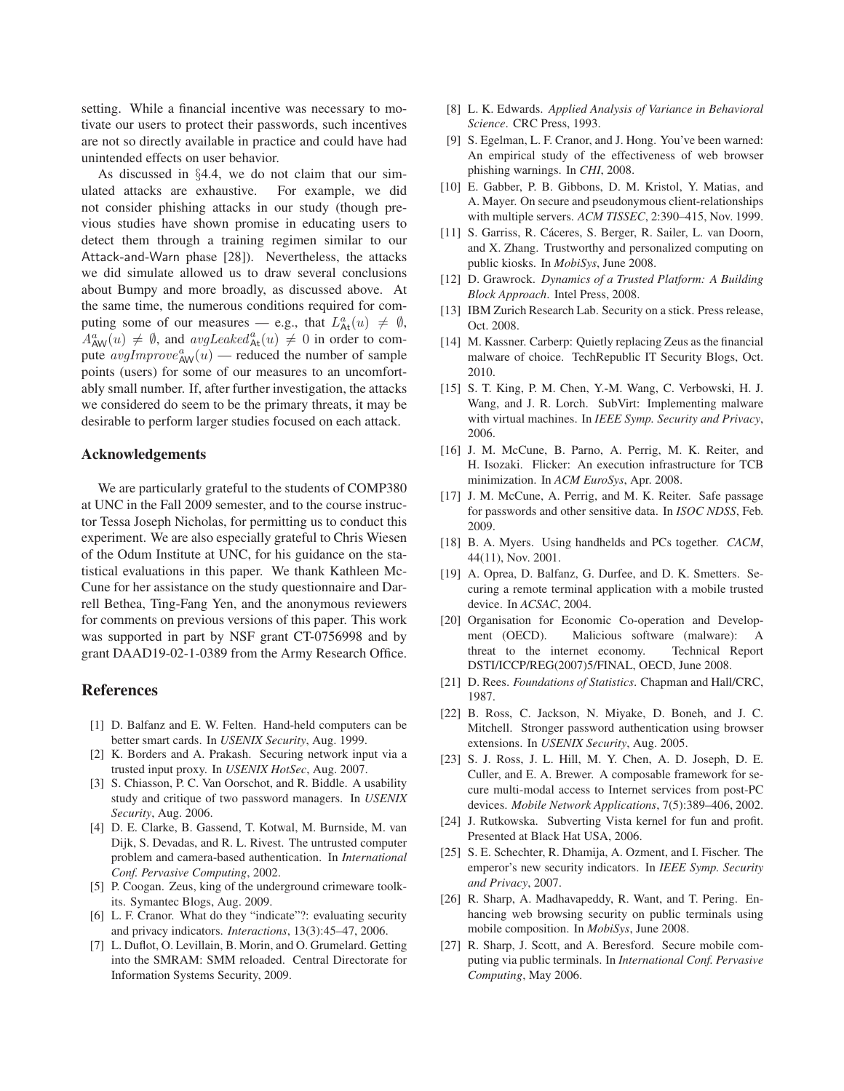setting. While a financial incentive was necessary to motivate our users to protect their passwords, such incentives are not so directly available in practice and could have had unintended effects on user behavior.

As discussed in §4.4, we do not claim that our simulated attacks are exhaustive. For example, we did not consider phishing attacks in our study (though previous studies have shown promise in educating users to detect them through a training regimen similar to our Attack-and-Warn phase [28]). Nevertheless, the attacks we did simulate allowed us to draw several conclusions about Bumpy and more broadly, as discussed above. At the same time, the numerous conditions required for computing some of our measures — e.g., that  $L^a_{\text{At}}(u) \neq \emptyset$ ,  $A_{\text{AW}}^{a}(u) \neq \emptyset$ , and  $avgLeaked_{\text{At}}^{a}(u) \neq 0$  in order to compute  $\frac{a}{\text{a} \text{v} g}$  *Improve*<sup>*a*</sup><sub>AW</sub>(*u*) — reduced the number of sample points (users) for some of our measures to an uncomfortably small number. If, after further investigation, the attacks we considered do seem to be the primary threats, it may be desirable to perform larger studies focused on each attack.

## **Acknowledgements**

We are particularly grateful to the students of COMP380 at UNC in the Fall 2009 semester, and to the course instructor Tessa Joseph Nicholas, for permitting us to conduct this experiment. We are also especially grateful to Chris Wiesen of the Odum Institute at UNC, for his guidance on the statistical evaluations in this paper. We thank Kathleen Mc-Cune for her assistance on the study questionnaire and Darrell Bethea, Ting-Fang Yen, and the anonymous reviewers for comments on previous versions of this paper. This work was supported in part by NSF grant CT-0756998 and by grant DAAD19-02-1-0389 from the Army Research Office.

#### **References**

- [1] D. Balfanz and E. W. Felten. Hand-held computers can be better smart cards. In *USENIX Security*, Aug. 1999.
- [2] K. Borders and A. Prakash. Securing network input via a trusted input proxy. In *USENIX HotSec*, Aug. 2007.
- [3] S. Chiasson, P. C. Van Oorschot, and R. Biddle. A usability study and critique of two password managers. In *USENIX Security*, Aug. 2006.
- [4] D. E. Clarke, B. Gassend, T. Kotwal, M. Burnside, M. van Dijk, S. Devadas, and R. L. Rivest. The untrusted computer problem and camera-based authentication. In *International Conf. Pervasive Computing*, 2002.
- [5] P. Coogan. Zeus, king of the underground crimeware toolkits. Symantec Blogs, Aug. 2009.
- [6] L. F. Cranor. What do they "indicate"?: evaluating security and privacy indicators. *Interactions*, 13(3):45–47, 2006.
- [7] L. Duflot, O. Levillain, B. Morin, and O. Grumelard. Getting into the SMRAM: SMM reloaded. Central Directorate for Information Systems Security, 2009.
- [8] L. K. Edwards. *Applied Analysis of Variance in Behavioral Science*. CRC Press, 1993.
- [9] S. Egelman, L. F. Cranor, and J. Hong. You've been warned: An empirical study of the effectiveness of web browser phishing warnings. In *CHI*, 2008.
- [10] E. Gabber, P. B. Gibbons, D. M. Kristol, Y. Matias, and A. Mayer. On secure and pseudonymous client-relationships with multiple servers. *ACM TISSEC*, 2:390–415, Nov. 1999.
- [11] S. Garriss, R. Cáceres, S. Berger, R. Sailer, L. van Doorn, and X. Zhang. Trustworthy and personalized computing on public kiosks. In *MobiSys*, June 2008.
- [12] D. Grawrock. *Dynamics of a Trusted Platform: A Building Block Approach*. Intel Press, 2008.
- [13] IBM Zurich Research Lab. Security on a stick. Press release, Oct. 2008.
- [14] M. Kassner. Carberp: Quietly replacing Zeus as the financial malware of choice. TechRepublic IT Security Blogs, Oct. 2010.
- [15] S. T. King, P. M. Chen, Y.-M. Wang, C. Verbowski, H. J. Wang, and J. R. Lorch. SubVirt: Implementing malware with virtual machines. In *IEEE Symp. Security and Privacy*, 2006.
- [16] J. M. McCune, B. Parno, A. Perrig, M. K. Reiter, and H. Isozaki. Flicker: An execution infrastructure for TCB minimization. In *ACM EuroSys*, Apr. 2008.
- [17] J. M. McCune, A. Perrig, and M. K. Reiter. Safe passage for passwords and other sensitive data. In *ISOC NDSS*, Feb. 2009.
- [18] B. A. Myers. Using handhelds and PCs together. *CACM*, 44(11), Nov. 2001.
- [19] A. Oprea, D. Balfanz, G. Durfee, and D. K. Smetters. Securing a remote terminal application with a mobile trusted device. In *ACSAC*, 2004.
- [20] Organisation for Economic Co-operation and Development (OECD). Malicious software (malware): A threat to the internet economy. Technical Report DSTI/ICCP/REG(2007)5/FINAL, OECD, June 2008.
- [21] D. Rees. *Foundations of Statistics*. Chapman and Hall/CRC, 1987.
- [22] B. Ross, C. Jackson, N. Miyake, D. Boneh, and J. C. Mitchell. Stronger password authentication using browser extensions. In *USENIX Security*, Aug. 2005.
- [23] S. J. Ross, J. L. Hill, M. Y. Chen, A. D. Joseph, D. E. Culler, and E. A. Brewer. A composable framework for secure multi-modal access to Internet services from post-PC devices. *Mobile Network Applications*, 7(5):389–406, 2002.
- [24] J. Rutkowska. Subverting Vista kernel for fun and profit. Presented at Black Hat USA, 2006.
- [25] S. E. Schechter, R. Dhamija, A. Ozment, and I. Fischer. The emperor's new security indicators. In *IEEE Symp. Security and Privacy*, 2007.
- [26] R. Sharp, A. Madhavapeddy, R. Want, and T. Pering. Enhancing web browsing security on public terminals using mobile composition. In *MobiSys*, June 2008.
- [27] R. Sharp, J. Scott, and A. Beresford. Secure mobile computing via public terminals. In *International Conf. Pervasive Computing*, May 2006.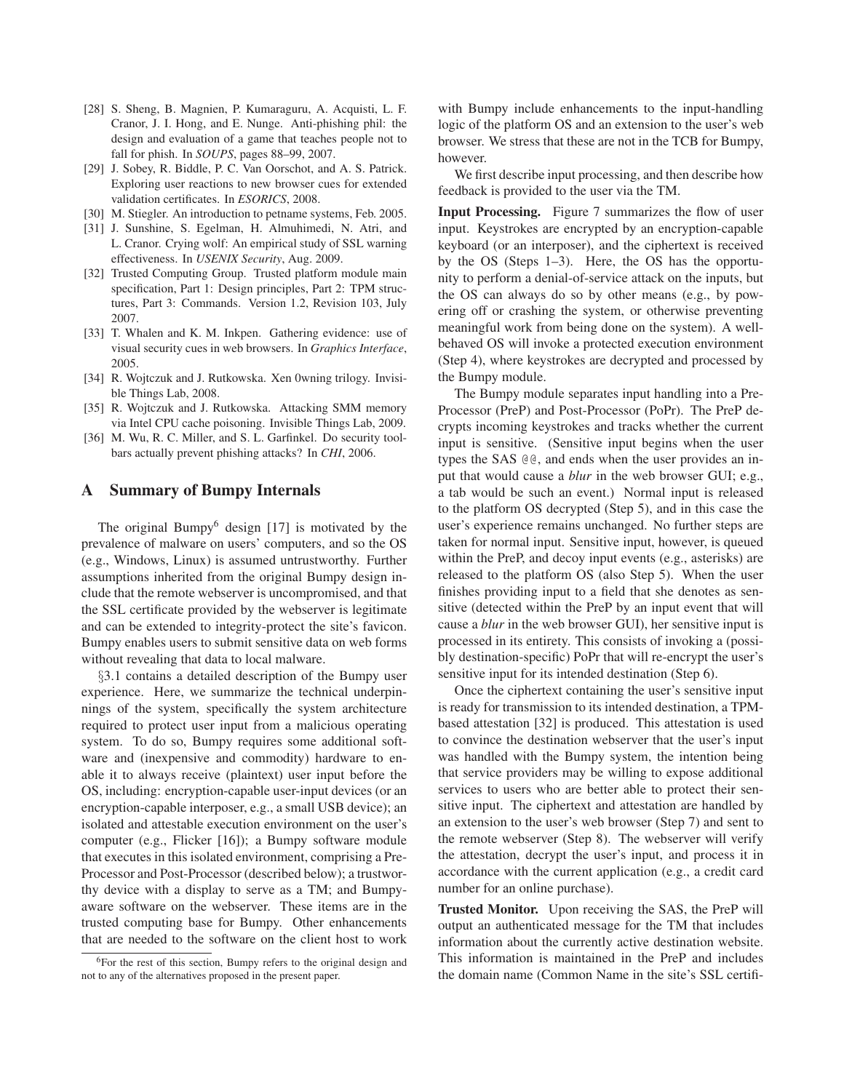- [28] S. Sheng, B. Magnien, P. Kumaraguru, A. Acquisti, L. F. Cranor, J. I. Hong, and E. Nunge. Anti-phishing phil: the design and evaluation of a game that teaches people not to fall for phish. In *SOUPS*, pages 88–99, 2007.
- [29] J. Sobey, R. Biddle, P. C. Van Oorschot, and A. S. Patrick. Exploring user reactions to new browser cues for extended validation certificates. In *ESORICS*, 2008.
- [30] M. Stiegler. An introduction to petname systems, Feb. 2005.
- [31] J. Sunshine, S. Egelman, H. Almuhimedi, N. Atri, and L. Cranor. Crying wolf: An empirical study of SSL warning effectiveness. In *USENIX Security*, Aug. 2009.
- [32] Trusted Computing Group. Trusted platform module main specification, Part 1: Design principles, Part 2: TPM structures, Part 3: Commands. Version 1.2, Revision 103, July 2007.
- [33] T. Whalen and K. M. Inkpen. Gathering evidence: use of visual security cues in web browsers. In *Graphics Interface*, 2005.
- [34] R. Wojtczuk and J. Rutkowska. Xen 0wning trilogy. Invisible Things Lab, 2008.
- [35] R. Wojtczuk and J. Rutkowska. Attacking SMM memory via Intel CPU cache poisoning. Invisible Things Lab, 2009.
- [36] M. Wu, R. C. Miller, and S. L. Garfinkel. Do security toolbars actually prevent phishing attacks? In *CHI*, 2006.

## **A Summary of Bumpy Internals**

The original Bumpy $<sup>6</sup>$  design [17] is motivated by the</sup> prevalence of malware on users' computers, and so the OS (e.g., Windows, Linux) is assumed untrustworthy. Further assumptions inherited from the original Bumpy design include that the remote webserver is uncompromised, and that the SSL certificate provided by the webserver is legitimate and can be extended to integrity-protect the site's favicon. Bumpy enables users to submit sensitive data on web forms without revealing that data to local malware.

§3.1 contains a detailed description of the Bumpy user experience. Here, we summarize the technical underpinnings of the system, specifically the system architecture required to protect user input from a malicious operating system. To do so, Bumpy requires some additional software and (inexpensive and commodity) hardware to enable it to always receive (plaintext) user input before the OS, including: encryption-capable user-input devices (or an encryption-capable interposer, e.g., a small USB device); an isolated and attestable execution environment on the user's computer (e.g., Flicker [16]); a Bumpy software module that executes in this isolated environment, comprising a Pre-Processor and Post-Processor (described below); a trustworthy device with a display to serve as a TM; and Bumpyaware software on the webserver. These items are in the trusted computing base for Bumpy. Other enhancements that are needed to the software on the client host to work

with Bumpy include enhancements to the input-handling logic of the platform OS and an extension to the user's web browser. We stress that these are not in the TCB for Bumpy, however.

We first describe input processing, and then describe how feedback is provided to the user via the TM.

**Input Processing.** Figure 7 summarizes the flow of user input. Keystrokes are encrypted by an encryption-capable keyboard (or an interposer), and the ciphertext is received by the OS (Steps 1–3). Here, the OS has the opportunity to perform a denial-of-service attack on the inputs, but the OS can always do so by other means (e.g., by powering off or crashing the system, or otherwise preventing meaningful work from being done on the system). A wellbehaved OS will invoke a protected execution environment (Step 4), where keystrokes are decrypted and processed by the Bumpy module.

The Bumpy module separates input handling into a Pre-Processor (PreP) and Post-Processor (PoPr). The PreP decrypts incoming keystrokes and tracks whether the current input is sensitive. (Sensitive input begins when the user types the SAS @@, and ends when the user provides an input that would cause a *blur* in the web browser GUI; e.g., a tab would be such an event.) Normal input is released to the platform OS decrypted (Step 5), and in this case the user's experience remains unchanged. No further steps are taken for normal input. Sensitive input, however, is queued within the PreP, and decoy input events (e.g., asterisks) are released to the platform OS (also Step 5). When the user finishes providing input to a field that she denotes as sensitive (detected within the PreP by an input event that will cause a *blur* in the web browser GUI), her sensitive input is processed in its entirety. This consists of invoking a (possibly destination-specific) PoPr that will re-encrypt the user's sensitive input for its intended destination (Step 6).

Once the ciphertext containing the user's sensitive input is ready for transmission to its intended destination, a TPMbased attestation [32] is produced. This attestation is used to convince the destination webserver that the user's input was handled with the Bumpy system, the intention being that service providers may be willing to expose additional services to users who are better able to protect their sensitive input. The ciphertext and attestation are handled by an extension to the user's web browser (Step 7) and sent to the remote webserver (Step 8). The webserver will verify the attestation, decrypt the user's input, and process it in accordance with the current application (e.g., a credit card number for an online purchase).

**Trusted Monitor.** Upon receiving the SAS, the PreP will output an authenticated message for the TM that includes information about the currently active destination website. This information is maintained in the PreP and includes the domain name (Common Name in the site's SSL certifi-

<sup>&</sup>lt;sup>6</sup>For the rest of this section, Bumpy refers to the original design and not to any of the alternatives proposed in the present paper.